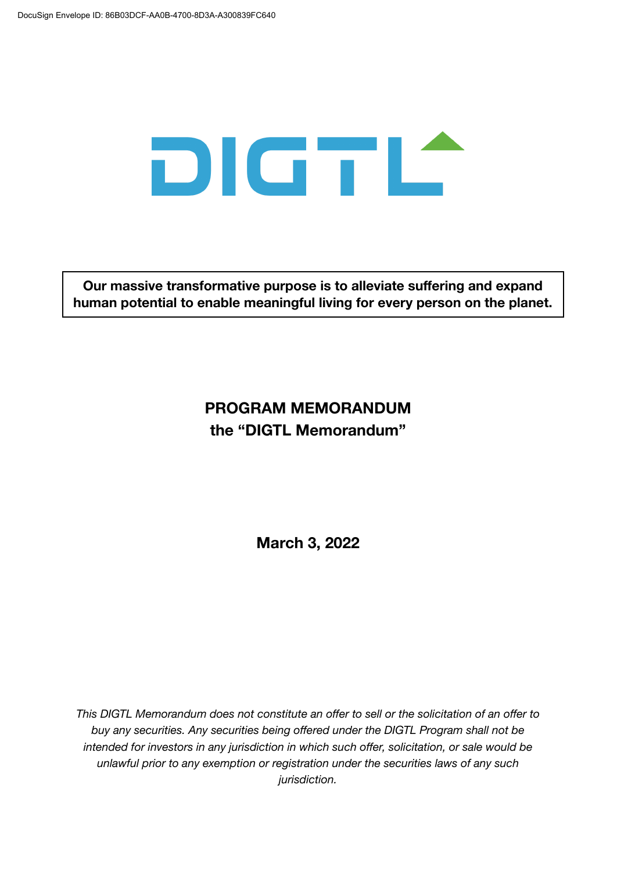

**Our massive transformative purpose is to alleviate suffering and expand human potential to enable meaningful living for every person on the planet.**

# **PROGRAM MEMORANDUM the "DIGTL Memorandum"**

**March 3, 2022**

*This DIGTL Memorandum does not constitute an offer to sell or the solicitation of an offer to buy any securities. Any securities being offered under the DIGTL Program shall not be intended for investors in any jurisdiction in which such offer, solicitation, or sale would be unlawful prior to any exemption or registration under the securities laws of any such jurisdiction.*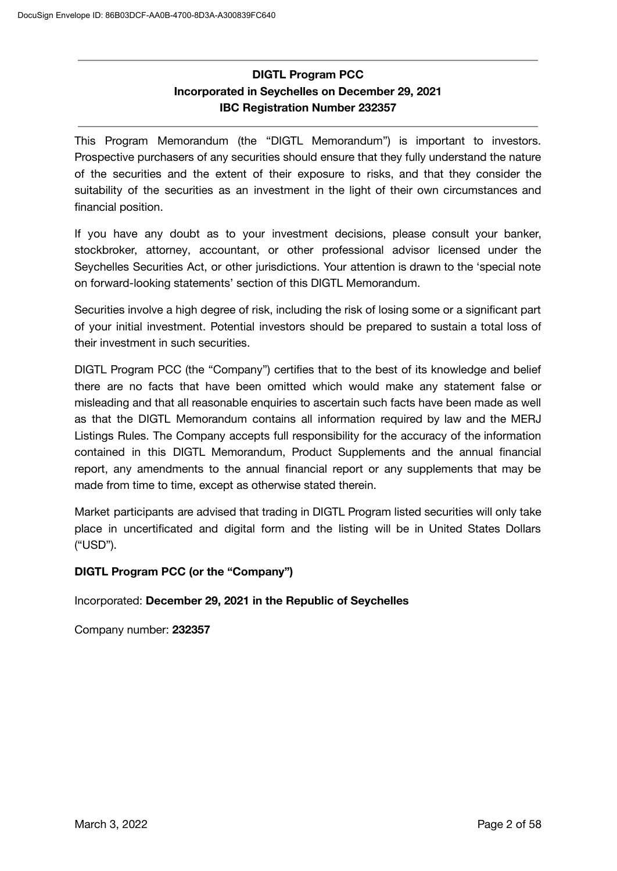# **DIGTL Program PCC Incorporated in Seychelles on December 29, 2021 IBC Registration Number 232357**

This Program Memorandum (the "DIGTL Memorandum") is important to investors. Prospective purchasers of any securities should ensure that they fully understand the nature of the securities and the extent of their exposure to risks, and that they consider the suitability of the securities as an investment in the light of their own circumstances and financial position.

If you have any doubt as to your investment decisions, please consult your banker, stockbroker, attorney, accountant, or other professional advisor licensed under the Seychelles Securities Act, or other jurisdictions. Your attention is drawn to the 'special note on forward-looking statements' section of this DIGTL Memorandum.

Securities involve a high degree of risk, including the risk of losing some or a significant part of your initial investment. Potential investors should be prepared to sustain a total loss of their investment in such securities.

DIGTL Program PCC (the "Company") certifies that to the best of its knowledge and belief there are no facts that have been omitted which would make any statement false or misleading and that all reasonable enquiries to ascertain such facts have been made as well as that the DIGTL Memorandum contains all information required by law and the MERJ Listings Rules. The Company accepts full responsibility for the accuracy of the information contained in this DIGTL Memorandum, Product Supplements and the annual financial report, any amendments to the annual financial report or any supplements that may be made from time to time, except as otherwise stated therein.

Market participants are advised that trading in DIGTL Program listed securities will only take place in uncertificated and digital form and the listing will be in United States Dollars ("USD").

### **DIGTL Program PCC (or the "Company")**

Incorporated: **December 29, 2021 in the Republic of Seychelles**

Company number: **232357**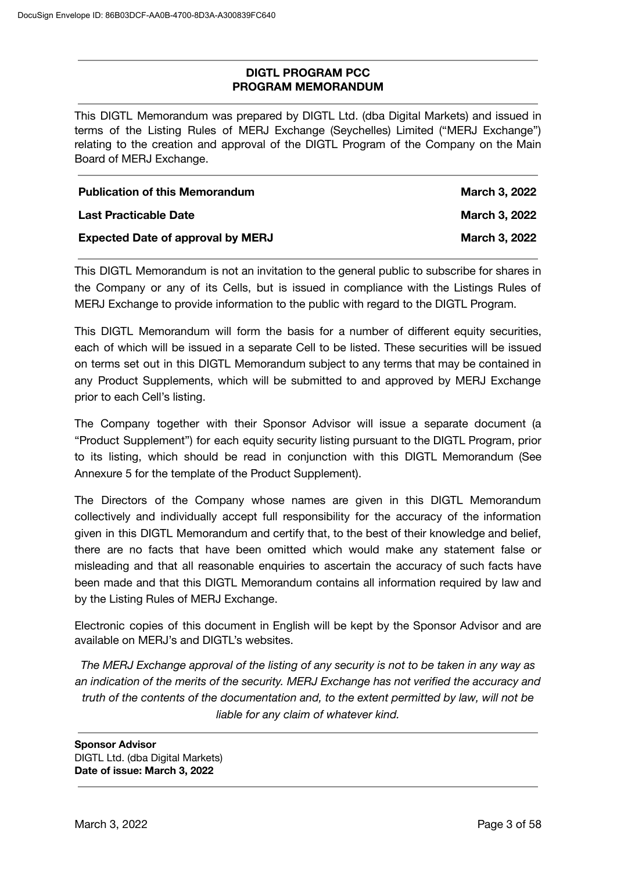### **DIGTL PROGRAM PCC PROGRAM MEMORANDUM**

This DIGTL Memorandum was prepared by DIGTL Ltd. (dba Digital Markets) and issued in terms of the Listing Rules of MERJ Exchange (Seychelles) Limited ("MERJ Exchange") relating to the creation and approval of the DIGTL Program of the Company on the Main Board of MERJ Exchange.

| <b>Publication of this Memorandum</b>    | March 3, 2022        |
|------------------------------------------|----------------------|
| Last Practicable Date                    | <b>March 3, 2022</b> |
| <b>Expected Date of approval by MERJ</b> | <b>March 3, 2022</b> |

This DIGTL Memorandum is not an invitation to the general public to subscribe for shares in the Company or any of its Cells, but is issued in compliance with the Listings Rules of MERJ Exchange to provide information to the public with regard to the DIGTL Program.

This DIGTL Memorandum will form the basis for a number of different equity securities, each of which will be issued in a separate Cell to be listed. These securities will be issued on terms set out in this DIGTL Memorandum subject to any terms that may be contained in any Product Supplements, which will be submitted to and approved by MERJ Exchange prior to each Cell's listing.

The Company together with their Sponsor Advisor will issue a separate document (a "Product Supplement") for each equity security listing pursuant to the DIGTL Program, prior to its listing, which should be read in conjunction with this DIGTL Memorandum (See Annexure 5 for the template of the Product Supplement).

The Directors of the Company whose names are given in this DIGTL Memorandum collectively and individually accept full responsibility for the accuracy of the information given in this DIGTL Memorandum and certify that, to the best of their knowledge and belief, there are no facts that have been omitted which would make any statement false or misleading and that all reasonable enquiries to ascertain the accuracy of such facts have been made and that this DIGTL Memorandum contains all information required by law and by the Listing Rules of MERJ Exchange.

Electronic copies of this document in English will be kept by the Sponsor Advisor and are available on MERJ's and DIGTL's websites.

*The MERJ Exchange approval of the listing of any security is not to be taken in any way as an indication of the merits of the security. MERJ Exchange has not verified the accuracy and truth of the contents of the documentation and, to the extent permitted by law, will not be liable for any claim of whatever kind.*

**Sponsor Advisor** DIGTL Ltd. (dba Digital Markets) **Date of issue: March 3, 2022**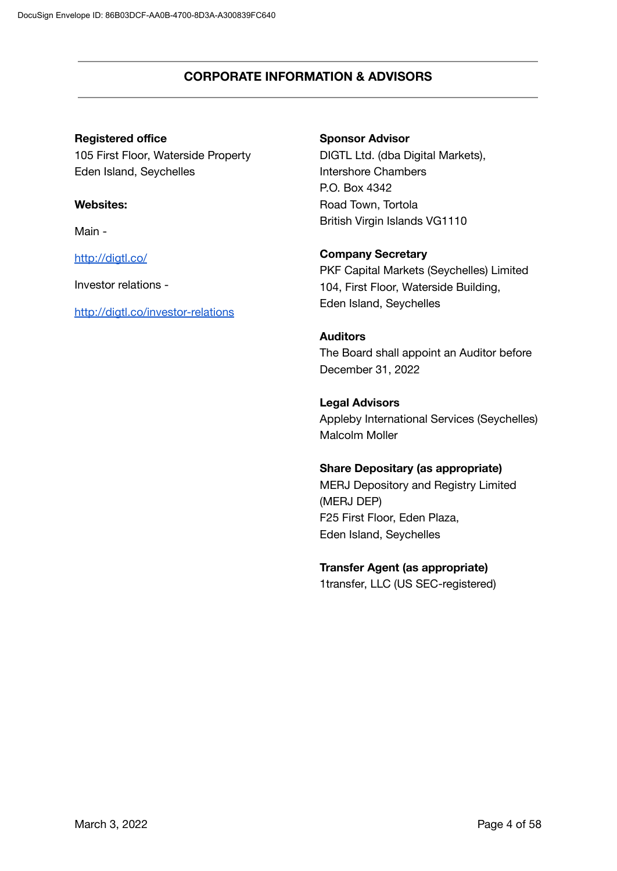### **CORPORATE INFORMATION & ADVISORS**

### **Registered office**

105 First Floor, Waterside Property Eden Island, Seychelles

#### **Websites:**

Main -

<http://digtl.co/>

Investor relations -

<http://digtl.co/investor-relations>

#### **Sponsor Advisor**

DIGTL Ltd. (dba Digital Markets), Intershore Chambers P.O. Box 4342 Road Town, Tortola British Virgin Islands VG1110

### **Company Secretary**

PKF Capital Markets (Seychelles) Limited 104, First Floor, Waterside Building, Eden Island, Seychelles

### **Auditors**

The Board shall appoint an Auditor before December 31, 2022

### **Legal Advisors**

Appleby International Services (Seychelles) Malcolm Moller

### **Share Depositary (as appropriate)**

MERJ Depository and Registry Limited (MERJ DEP) F25 First Floor, Eden Plaza, Eden Island, Seychelles

### **Transfer Agent (as appropriate)**

1transfer, LLC (US SEC-registered)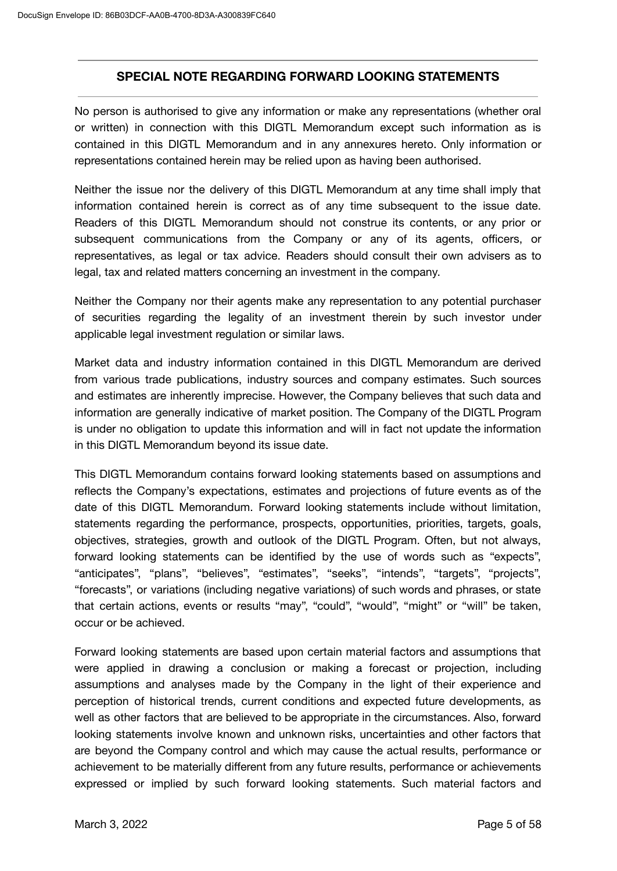### **SPECIAL NOTE REGARDING FORWARD LOOKING STATEMENTS**

No person is authorised to give any information or make any representations (whether oral or written) in connection with this DIGTL Memorandum except such information as is contained in this DIGTL Memorandum and in any annexures hereto. Only information or representations contained herein may be relied upon as having been authorised.

Neither the issue nor the delivery of this DIGTL Memorandum at any time shall imply that information contained herein is correct as of any time subsequent to the issue date. Readers of this DIGTL Memorandum should not construe its contents, or any prior or subsequent communications from the Company or any of its agents, officers, or representatives, as legal or tax advice. Readers should consult their own advisers as to legal, tax and related matters concerning an investment in the company.

Neither the Company nor their agents make any representation to any potential purchaser of securities regarding the legality of an investment therein by such investor under applicable legal investment regulation or similar laws.

Market data and industry information contained in this DIGTL Memorandum are derived from various trade publications, industry sources and company estimates. Such sources and estimates are inherently imprecise. However, the Company believes that such data and information are generally indicative of market position. The Company of the DIGTL Program is under no obligation to update this information and will in fact not update the information in this DIGTL Memorandum beyond its issue date.

This DIGTL Memorandum contains forward looking statements based on assumptions and reflects the Company's expectations, estimates and projections of future events as of the date of this DIGTL Memorandum. Forward looking statements include without limitation, statements regarding the performance, prospects, opportunities, priorities, targets, goals, objectives, strategies, growth and outlook of the DIGTL Program. Often, but not always, forward looking statements can be identified by the use of words such as "expects", "anticipates", "plans", "believes", "estimates", "seeks", "intends", "targets", "projects", "forecasts", or variations (including negative variations) of such words and phrases, or state that certain actions, events or results "may", "could", "would", "might" or "will" be taken, occur or be achieved.

Forward looking statements are based upon certain material factors and assumptions that were applied in drawing a conclusion or making a forecast or projection, including assumptions and analyses made by the Company in the light of their experience and perception of historical trends, current conditions and expected future developments, as well as other factors that are believed to be appropriate in the circumstances. Also, forward looking statements involve known and unknown risks, uncertainties and other factors that are beyond the Company control and which may cause the actual results, performance or achievement to be materially different from any future results, performance or achievements expressed or implied by such forward looking statements. Such material factors and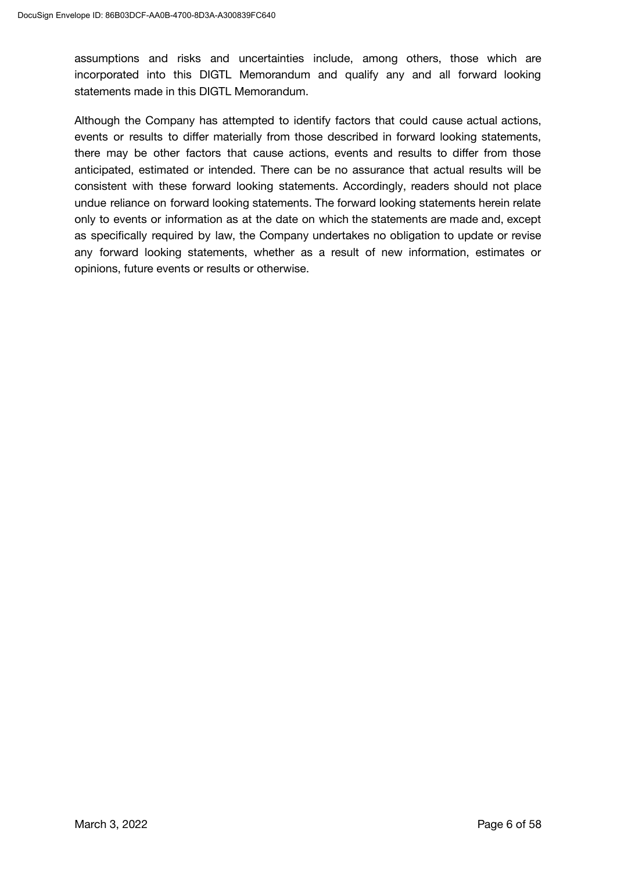assumptions and risks and uncertainties include, among others, those which are incorporated into this DIGTL Memorandum and qualify any and all forward looking statements made in this DIGTL Memorandum.

Although the Company has attempted to identify factors that could cause actual actions, events or results to differ materially from those described in forward looking statements, there may be other factors that cause actions, events and results to differ from those anticipated, estimated or intended. There can be no assurance that actual results will be consistent with these forward looking statements. Accordingly, readers should not place undue reliance on forward looking statements. The forward looking statements herein relate only to events or information as at the date on which the statements are made and, except as specifically required by law, the Company undertakes no obligation to update or revise any forward looking statements, whether as a result of new information, estimates or opinions, future events or results or otherwise.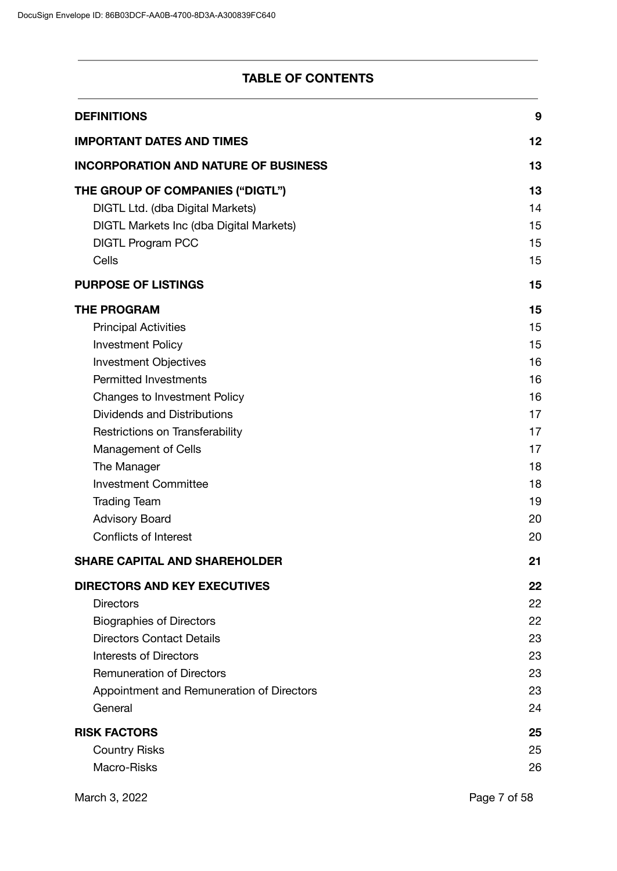# **TABLE OF CONTENTS**

| <b>DEFINITIONS</b>                          | 9        |
|---------------------------------------------|----------|
| <b>IMPORTANT DATES AND TIMES</b>            | 12       |
| <b>INCORPORATION AND NATURE OF BUSINESS</b> | 13       |
| THE GROUP OF COMPANIES ("DIGTL")            | 13       |
| DIGTL Ltd. (dba Digital Markets)            | 14       |
| DIGTL Markets Inc (dba Digital Markets)     | 15       |
| <b>DIGTL Program PCC</b>                    | 15       |
| Cells                                       | 15       |
| <b>PURPOSE OF LISTINGS</b>                  | 15       |
| <b>THE PROGRAM</b>                          | 15       |
| <b>Principal Activities</b>                 | 15       |
| <b>Investment Policy</b>                    | 15       |
| <b>Investment Objectives</b>                | 16       |
| <b>Permitted Investments</b>                | 16       |
| <b>Changes to Investment Policy</b>         | 16       |
| <b>Dividends and Distributions</b>          | 17       |
| Restrictions on Transferability             | 17       |
| <b>Management of Cells</b>                  | 17       |
| The Manager<br><b>Investment Committee</b>  | 18<br>18 |
| <b>Trading Team</b>                         | 19       |
| <b>Advisory Board</b>                       | 20       |
| <b>Conflicts of Interest</b>                | 20       |
| <b>SHARE CAPITAL AND SHAREHOLDER</b>        | 21       |
| <b>DIRECTORS AND KEY EXECUTIVES</b>         | 22       |
| <b>Directors</b>                            | 22       |
| <b>Biographies of Directors</b>             | 22       |
| <b>Directors Contact Details</b>            | 23       |
| <b>Interests of Directors</b>               | 23       |
| <b>Remuneration of Directors</b>            | 23       |
| Appointment and Remuneration of Directors   | 23       |
| General                                     | 24       |
| <b>RISK FACTORS</b>                         | 25       |
| <b>Country Risks</b>                        | 25       |
| Macro-Risks                                 | 26       |
|                                             |          |

March 3, 2022 **Page 7 of 58**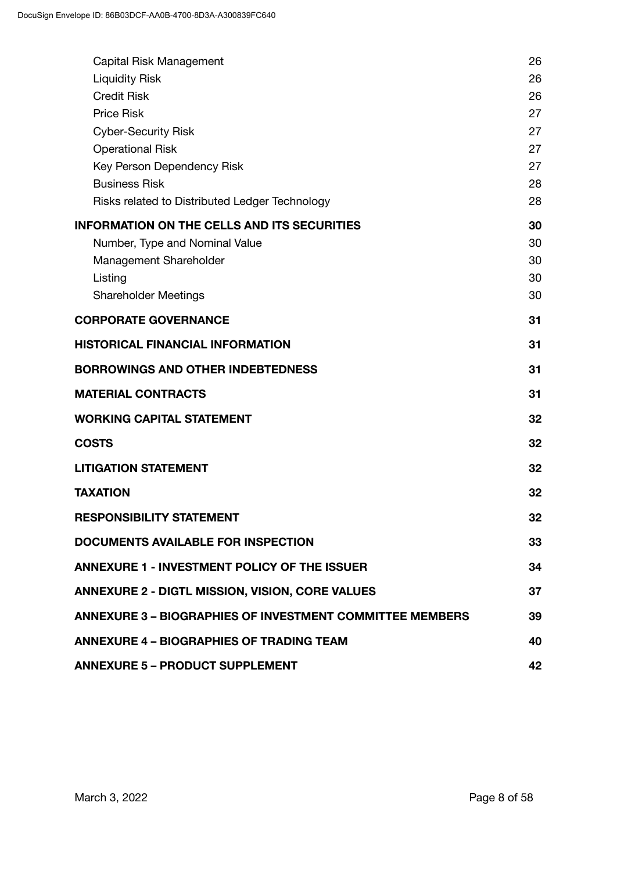| Capital Risk Management                                         | 26 |
|-----------------------------------------------------------------|----|
| <b>Liquidity Risk</b>                                           | 26 |
| <b>Credit Risk</b>                                              | 26 |
| <b>Price Risk</b>                                               | 27 |
| <b>Cyber-Security Risk</b>                                      | 27 |
| <b>Operational Risk</b>                                         | 27 |
| Key Person Dependency Risk                                      | 27 |
| <b>Business Risk</b>                                            | 28 |
| Risks related to Distributed Ledger Technology                  | 28 |
| <b>INFORMATION ON THE CELLS AND ITS SECURITIES</b>              | 30 |
| Number, Type and Nominal Value                                  | 30 |
| Management Shareholder                                          | 30 |
| Listing                                                         | 30 |
| <b>Shareholder Meetings</b>                                     | 30 |
| <b>CORPORATE GOVERNANCE</b>                                     | 31 |
| <b>HISTORICAL FINANCIAL INFORMATION</b>                         | 31 |
| <b>BORROWINGS AND OTHER INDEBTEDNESS</b>                        | 31 |
| <b>MATERIAL CONTRACTS</b>                                       | 31 |
| <b>WORKING CAPITAL STATEMENT</b>                                | 32 |
| <b>COSTS</b>                                                    | 32 |
| <b>LITIGATION STATEMENT</b>                                     | 32 |
| <b>TAXATION</b>                                                 | 32 |
| <b>RESPONSIBILITY STATEMENT</b>                                 | 32 |
| <b>DOCUMENTS AVAILABLE FOR INSPECTION</b>                       | 33 |
| <b>ANNEXURE 1 - INVESTMENT POLICY OF THE ISSUER</b>             | 34 |
| <b>ANNEXURE 2 - DIGTL MISSION, VISION, CORE VALUES</b>          | 37 |
| <b>ANNEXURE 3 - BIOGRAPHIES OF INVESTMENT COMMITTEE MEMBERS</b> | 39 |
| <b>ANNEXURE 4 - BIOGRAPHIES OF TRADING TEAM</b>                 | 40 |
| <b>ANNEXURE 5 - PRODUCT SUPPLEMENT</b>                          | 42 |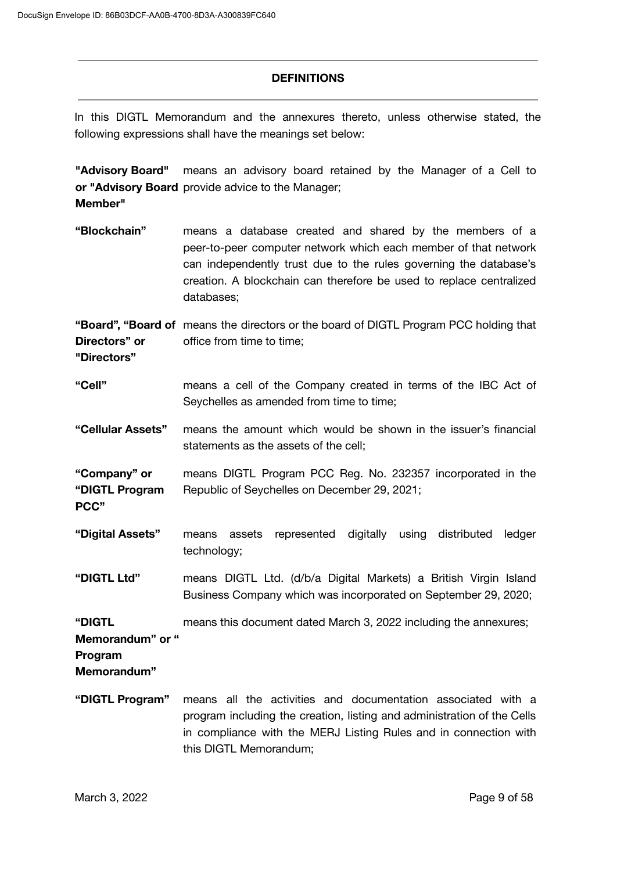#### **DEFINITIONS**

In this DIGTL Memorandum and the annexures thereto, unless otherwise stated, the following expressions shall have the meanings set below:

**"Advisory Board"** or "Advisory Board provide advice to the Manager; **Member"** means an advisory board retained by the Manager of a Cell to

**"Blockchain"** means a database created and shared by the members of a peer-to-peer computer network which each member of that network can independently trust due to the rules governing the database's creation. A blockchain can therefore be used to replace centralized databases;

**"Board", "Board of** means the directors or the board of DIGTL Program PCC holding that **Directors" or** office from time to time;

**"Directors"**

**PCC"**

- **"Cell"** means a cell of the Company created in terms of the IBC Act of Seychelles as amended from time to time;
- **"Cellular Assets"** means the amount which would be shown in the issuer's financial statements as the assets of the cell;

**"Company" or "DIGTL Program** means DIGTL Program PCC Reg. No. 232357 incorporated in the Republic of Seychelles on December 29, 2021;

- **"Digital Assets"** means assets represented digitally using distributed ledger technology;
- **"DIGTL Ltd"** means DIGTL Ltd. (d/b/a Digital Markets) a British Virgin Island Business Company which was incorporated on September 29, 2020;

**"DIGTL** means this document dated March 3, 2022 including the annexures;

**Memorandum" or "**

**Program**

**Memorandum"**

**"DIGTL Program"** means all the activities and documentation associated with a program including the creation, listing and administration of the Cells in compliance with the MERJ Listing Rules and in connection with this DIGTL Memorandum;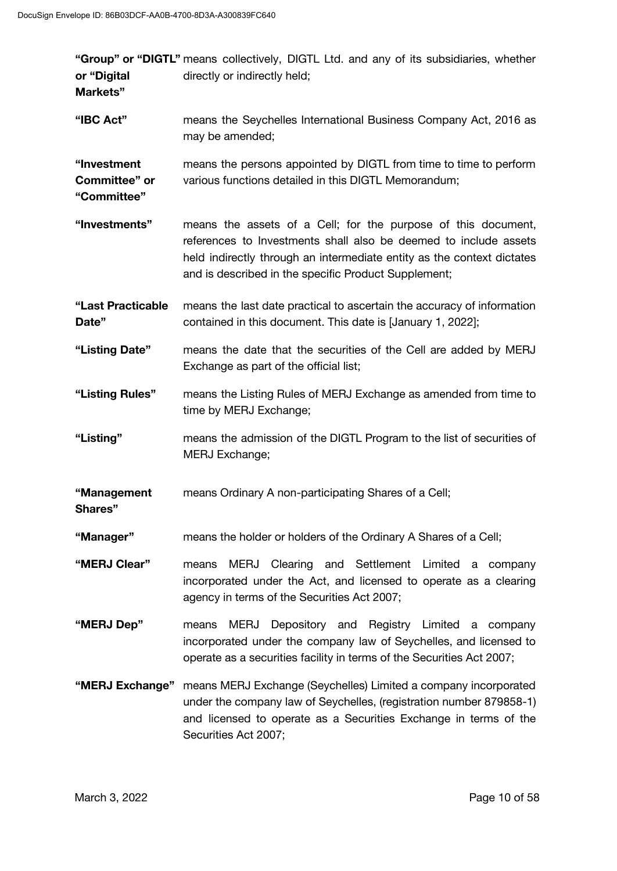| or "Digital<br>Markets"                     | "Group" or "DIGTL" means collectively, DIGTL Ltd. and any of its subsidiaries, whether<br>directly or indirectly held;                                                                                                                                              |
|---------------------------------------------|---------------------------------------------------------------------------------------------------------------------------------------------------------------------------------------------------------------------------------------------------------------------|
| "IBC Act"                                   | means the Seychelles International Business Company Act, 2016 as<br>may be amended;                                                                                                                                                                                 |
| "Investment<br>Committee" or<br>"Committee" | means the persons appointed by DIGTL from time to time to perform<br>various functions detailed in this DIGTL Memorandum;                                                                                                                                           |
| "Investments"                               | means the assets of a Cell; for the purpose of this document,<br>references to Investments shall also be deemed to include assets<br>held indirectly through an intermediate entity as the context dictates<br>and is described in the specific Product Supplement; |
| "Last Practicable<br>Date"                  | means the last date practical to ascertain the accuracy of information<br>contained in this document. This date is [January 1, 2022];                                                                                                                               |
| "Listing Date"                              | means the date that the securities of the Cell are added by MERJ<br>Exchange as part of the official list;                                                                                                                                                          |
| "Listing Rules"                             | means the Listing Rules of MERJ Exchange as amended from time to<br>time by MERJ Exchange;                                                                                                                                                                          |
| "Listing"                                   | means the admission of the DIGTL Program to the list of securities of<br>MERJ Exchange;                                                                                                                                                                             |
| "Management<br>Shares"                      | means Ordinary A non-participating Shares of a Cell;                                                                                                                                                                                                                |
| "Manager"                                   | means the holder or holders of the Ordinary A Shares of a Cell;                                                                                                                                                                                                     |
| "MERJ Clear"                                | <b>MERJ</b><br>Clearing and Settlement Limited<br>means<br>a company<br>incorporated under the Act, and licensed to operate as a clearing<br>agency in terms of the Securities Act 2007;                                                                            |
| "MERJ Dep"                                  | Depository and Registry Limited<br><b>MERJ</b><br>means<br>a company<br>incorporated under the company law of Seychelles, and licensed to<br>operate as a securities facility in terms of the Securities Act 2007;                                                  |
| "MERJ Exchange"                             | means MERJ Exchange (Seychelles) Limited a company incorporated<br>under the company law of Seychelles, (registration number 879858-1)<br>and licensed to operate as a Securities Exchange in terms of the<br>Securities Act 2007;                                  |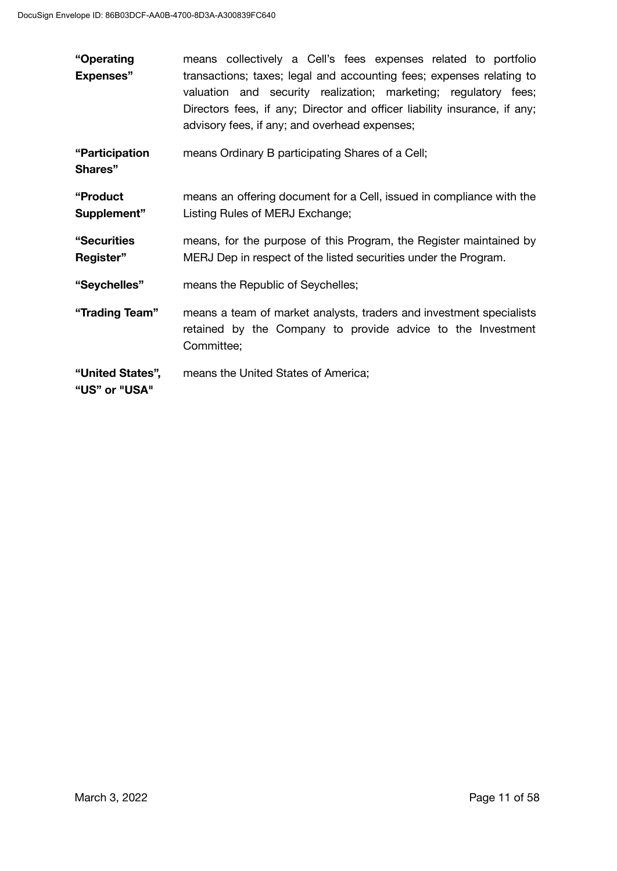| "Operating                        | means collectively a Cell's fees expenses related to portfolio                                                                                                                                                                                                        |  |
|-----------------------------------|-----------------------------------------------------------------------------------------------------------------------------------------------------------------------------------------------------------------------------------------------------------------------|--|
| <b>Expenses"</b>                  | transactions; taxes; legal and accounting fees; expenses relating to<br>valuation and security realization; marketing; regulatory fees;<br>Directors fees, if any; Director and officer liability insurance, if any;<br>advisory fees, if any; and overhead expenses; |  |
| "Participation<br>Shares"         | means Ordinary B participating Shares of a Cell;                                                                                                                                                                                                                      |  |
| "Product<br>Supplement"           | means an offering document for a Cell, issued in compliance with the<br>Listing Rules of MERJ Exchange;                                                                                                                                                               |  |
| "Securities<br>Register"          | means, for the purpose of this Program, the Register maintained by<br>MERJ Dep in respect of the listed securities under the Program.                                                                                                                                 |  |
| "Seychelles"                      | means the Republic of Seychelles;                                                                                                                                                                                                                                     |  |
| "Trading Team"                    | means a team of market analysts, traders and investment specialists<br>retained by the Company to provide advice to the Investment<br>Committee;                                                                                                                      |  |
| "United States",<br>"US" or "USA" | means the United States of America;                                                                                                                                                                                                                                   |  |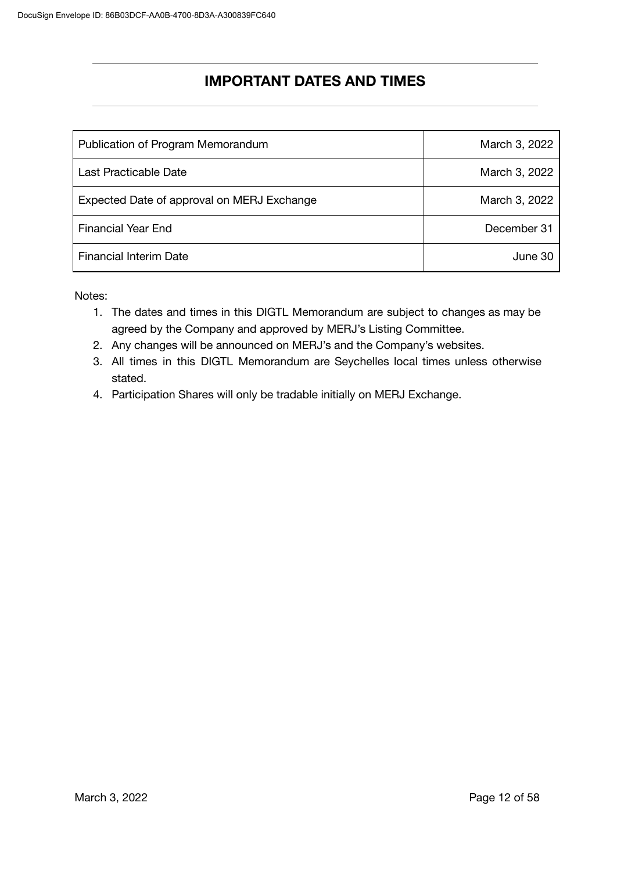# **IMPORTANT DATES AND TIMES**

| Publication of Program Memorandum          | March 3, 2022 |
|--------------------------------------------|---------------|
| Last Practicable Date                      | March 3, 2022 |
| Expected Date of approval on MERJ Exchange | March 3, 2022 |
| <b>Financial Year End</b>                  | December 31   |
| <b>Financial Interim Date</b>              | June 30       |

Notes:

- 1. The dates and times in this DIGTL Memorandum are subject to changes as may be agreed by the Company and approved by MERJ's Listing Committee.
- 2. Any changes will be announced on MERJ's and the Company's websites.
- 3. All times in this DIGTL Memorandum are Seychelles local times unless otherwise stated.
- 4. Participation Shares will only be tradable initially on MERJ Exchange.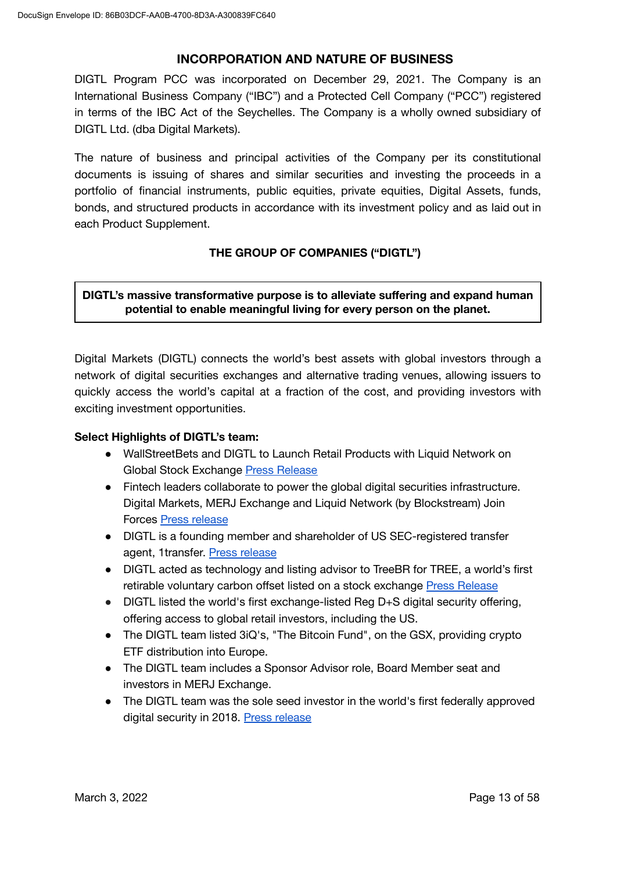### **INCORPORATION AND NATURE OF BUSINESS**

DIGTL Program PCC was incorporated on December 29, 2021. The Company is an International Business Company ("IBC") and a Protected Cell Company ("PCC") registered in terms of the IBC Act of the Seychelles. The Company is a wholly owned subsidiary of DIGTL Ltd. (dba Digital Markets).

The nature of business and principal activities of the Company per its constitutional documents is issuing of shares and similar securities and investing the proceeds in a portfolio of financial instruments, public equities, private equities, Digital Assets, funds, bonds, and structured products in accordance with its investment policy and as laid out in each Product Supplement.

### **THE GROUP OF COMPANIES ("DIGTL")**

**DIGTL's massive transformative purpose is to alleviate suffering and expand human potential to enable meaningful living for every person on the planet.**

Digital Markets (DIGTL) connects the world's best assets with global investors through a network of digital securities exchanges and alternative trading venues, allowing issuers to quickly access the world's capital at a fraction of the cost, and providing investors with exciting investment opportunities.

### **Select Highlights of DIGTL's team:**

- WallStreetBets and DIGTL to Launch Retail Products with Liquid Network on Global Stock Exchange Press [Release](https://www.businesswire.com/news/home/20211027005380/en/WallStreetBets-and-DIGTL-to-Launch-Retail-Funds-with-Liquid-Network-on-Global-Stock-Exchange-MERJ)
- Fintech leaders collaborate to power the global digital securities infrastructure. Digital Markets, MERJ Exchange and Liquid Network (by Blockstream) Join Forces Press [release](https://www.prweb.com/releases/digital_markets_merj_exchange_and_liquid_network_join_forces/prweb18251410.htm#!)
- DIGTL is a founding member and shareholder of US SEC-registered transfer agent, 1transfer. Press [release](https://www.prnewswire.com/news-releases/1transfer-launches-international-consortium-transfer-agency-to-position-itself-as-the-leading-transfer-agent-for-the-digital-world-301295708.html)
- DIGTL acted as technology and listing advisor to TreeBR for TREE, a world's first retirable voluntary carbon offset listed on a stock exchange Press [Release](https://www.globenewswire.com/en/news-release/2021/10/05/2308778/0/en/TreeBR-Carbon-Offsets-Inc-Announces-Its-Intent-to-Directly-Support-Amazon-Rainforest-Preservation-Through-a-Share-Offering-With-Underlying-Carbon-Credits.html)
- DIGTL listed the world's first exchange-listed Reg D+S digital security offering, offering access to global retail investors, including the US.
- The DIGTL team listed 3iQ's, "The Bitcoin Fund", on the GSX, providing crypto ETF distribution into Europe.
- The DIGTL team includes a Sponsor Advisor role, Board Member seat and investors in MERJ Exchange.
- The DIGTL team was the sole seed investor in the world's first federally approved digital security in 2018. Press [release](https://www.prnewswire.com/news-releases/tribeos-achieves-historic-milestone-in-global-finance-the-worlds-first-federally-approved-digital-security-offering-dso-300816353.html)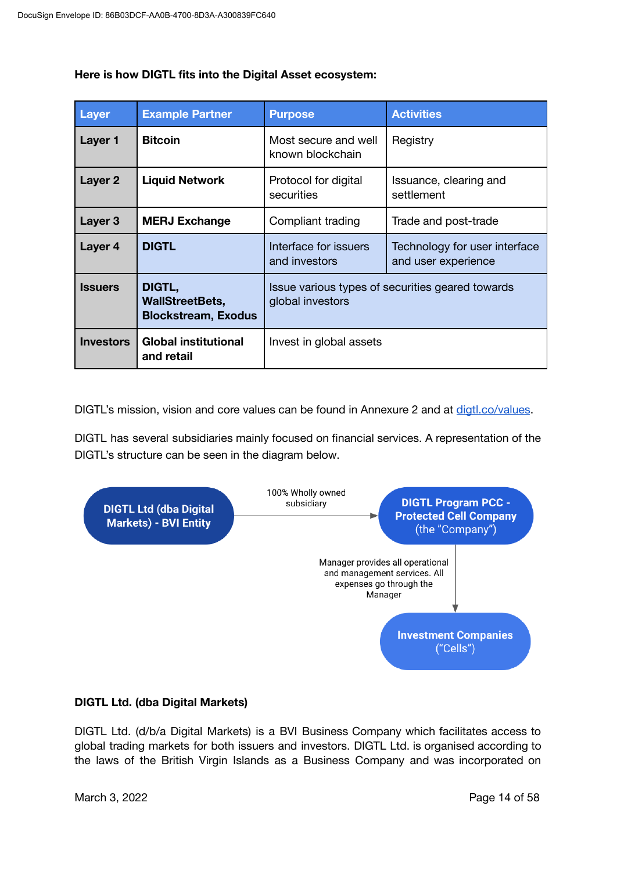| <b>Layer</b>       | <b>Example Partner</b>                                         | <b>Purpose</b>                                                       | <b>Activities</b>                                    |
|--------------------|----------------------------------------------------------------|----------------------------------------------------------------------|------------------------------------------------------|
| Layer 1            | <b>Bitcoin</b>                                                 | Most secure and well<br>known blockchain                             | Registry                                             |
| Layer 2            | <b>Liquid Network</b>                                          | Protocol for digital<br>securities                                   | Issuance, clearing and<br>settlement                 |
| Layer <sub>3</sub> | <b>MERJ Exchange</b>                                           | Compliant trading                                                    | Trade and post-trade                                 |
| Layer 4            | <b>DIGTL</b>                                                   | Interface for issuers<br>and investors                               | Technology for user interface<br>and user experience |
| <b>Issuers</b>     | DIGTL,<br><b>WallStreetBets,</b><br><b>Blockstream, Exodus</b> | Issue various types of securities geared towards<br>global investors |                                                      |
| <b>Investors</b>   | <b>Global institutional</b><br>and retail                      | Invest in global assets                                              |                                                      |

### **Here is how DIGTL fits into the Digital Asset ecosystem:**

DIGTL's mission, vision and core values can be found in Annexure 2 and at [digtl.co/values](http://digtl.co/values).

DIGTL has several subsidiaries mainly focused on financial services. A representation of the DIGTL's structure can be seen in the diagram below.



### **DIGTL Ltd. (dba Digital Markets)**

DIGTL Ltd. (d/b/a Digital Markets) is a BVI Business Company which facilitates access to global trading markets for both issuers and investors. DIGTL Ltd. is organised according to the laws of the British Virgin Islands as a Business Company and was incorporated on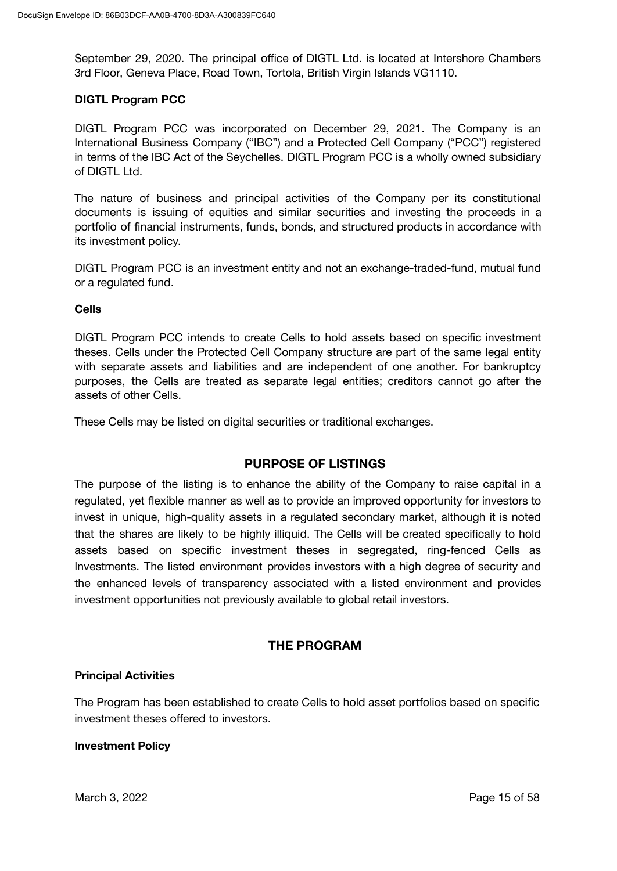September 29, 2020. The principal office of DIGTL Ltd. is located at Intershore Chambers 3rd Floor, Geneva Place, Road Town, Tortola, British Virgin Islands VG1110.

#### **DIGTL Program PCC**

DIGTL Program PCC was incorporated on December 29, 2021. The Company is an International Business Company ("IBC") and a Protected Cell Company ("PCC") registered in terms of the IBC Act of the Seychelles. DIGTL Program PCC is a wholly owned subsidiary of DIGTL Ltd.

The nature of business and principal activities of the Company per its constitutional documents is issuing of equities and similar securities and investing the proceeds in a portfolio of financial instruments, funds, bonds, and structured products in accordance with its investment policy.

DIGTL Program PCC is an investment entity and not an exchange-traded-fund, mutual fund or a regulated fund.

#### **Cells**

DIGTL Program PCC intends to create Cells to hold assets based on specific investment theses. Cells under the Protected Cell Company structure are part of the same legal entity with separate assets and liabilities and are independent of one another. For bankruptcy purposes, the Cells are treated as separate legal entities; creditors cannot go after the assets of other Cells.

These Cells may be listed on digital securities or traditional exchanges.

### **PURPOSE OF LISTINGS**

The purpose of the listing is to enhance the ability of the Company to raise capital in a regulated, yet flexible manner as well as to provide an improved opportunity for investors to invest in unique, high-quality assets in a regulated secondary market, although it is noted that the shares are likely to be highly illiquid. The Cells will be created specifically to hold assets based on specific investment theses in segregated, ring-fenced Cells as Investments. The listed environment provides investors with a high degree of security and the enhanced levels of transparency associated with a listed environment and provides investment opportunities not previously available to global retail investors.

### **THE PROGRAM**

#### **Principal Activities**

The Program has been established to create Cells to hold asset portfolios based on specific investment theses offered to investors.

#### **Investment Policy**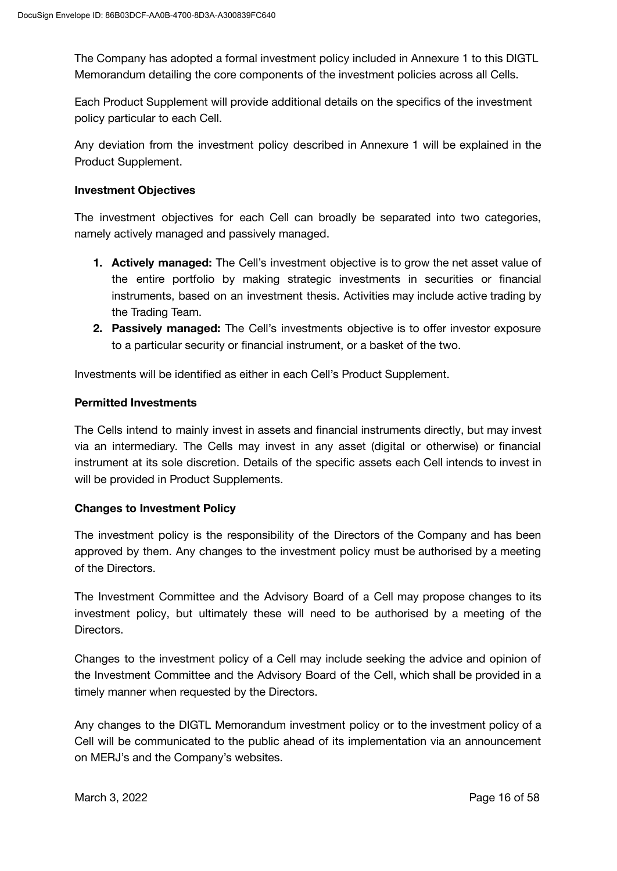The Company has adopted a formal investment policy included in Annexure 1 to this DIGTL Memorandum detailing the core components of the investment policies across all Cells.

Each Product Supplement will provide additional details on the specifics of the investment policy particular to each Cell.

Any deviation from the investment policy described in Annexure 1 will be explained in the Product Supplement.

### **Investment Objectives**

The investment objectives for each Cell can broadly be separated into two categories, namely actively managed and passively managed.

- **1. Actively managed:** The Cell's investment objective is to grow the net asset value of the entire portfolio by making strategic investments in securities or financial instruments, based on an investment thesis. Activities may include active trading by the Trading Team.
- **2. Passively managed:** The Cell's investments objective is to offer investor exposure to a particular security or financial instrument, or a basket of the two.

Investments will be identified as either in each Cell's Product Supplement.

### **Permitted Investments**

The Cells intend to mainly invest in assets and financial instruments directly, but may invest via an intermediary. The Cells may invest in any asset (digital or otherwise) or financial instrument at its sole discretion. Details of the specific assets each Cell intends to invest in will be provided in Product Supplements.

### **Changes to Investment Policy**

The investment policy is the responsibility of the Directors of the Company and has been approved by them. Any changes to the investment policy must be authorised by a meeting of the Directors.

The Investment Committee and the Advisory Board of a Cell may propose changes to its investment policy, but ultimately these will need to be authorised by a meeting of the Directors.

Changes to the investment policy of a Cell may include seeking the advice and opinion of the Investment Committee and the Advisory Board of the Cell, which shall be provided in a timely manner when requested by the Directors.

Any changes to the DIGTL Memorandum investment policy or to the investment policy of a Cell will be communicated to the public ahead of its implementation via an announcement on MERJ's and the Company's websites.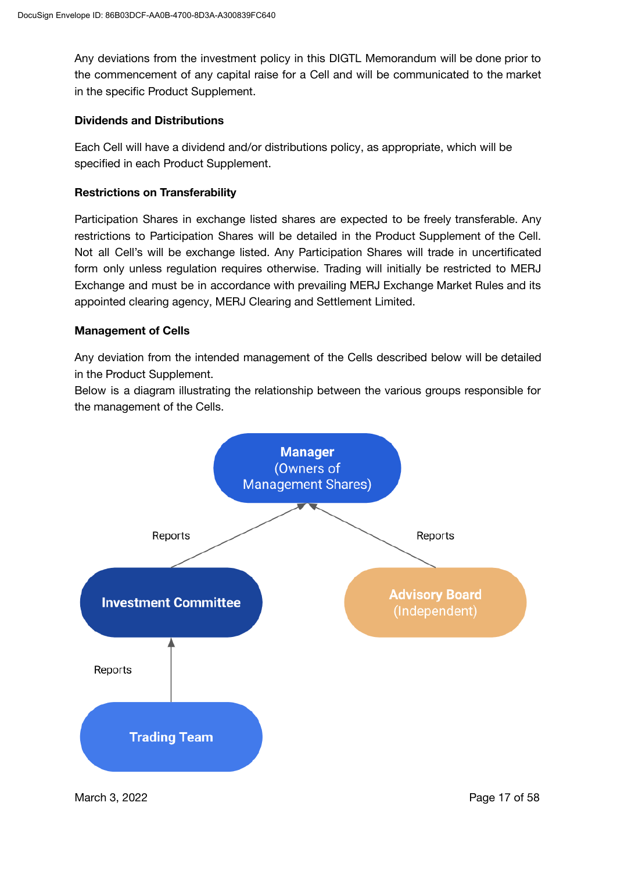Any deviations from the investment policy in this DIGTL Memorandum will be done prior to the commencement of any capital raise for a Cell and will be communicated to the market in the specific Product Supplement.

### **Dividends and Distributions**

Each Cell will have a dividend and/or distributions policy, as appropriate, which will be specified in each Product Supplement.

### **Restrictions on Transferability**

Participation Shares in exchange listed shares are expected to be freely transferable. Any restrictions to Participation Shares will be detailed in the Product Supplement of the Cell. Not all Cell's will be exchange listed. Any Participation Shares will trade in uncertificated form only unless regulation requires otherwise. Trading will initially be restricted to MERJ Exchange and must be in accordance with prevailing MERJ Exchange Market Rules and its appointed clearing agency, MERJ Clearing and Settlement Limited.

### **Management of Cells**

Any deviation from the intended management of the Cells described below will be detailed in the Product Supplement.

Below is a diagram illustrating the relationship between the various groups responsible for the management of the Cells.



March 3, 2022 **Page 17 of 58**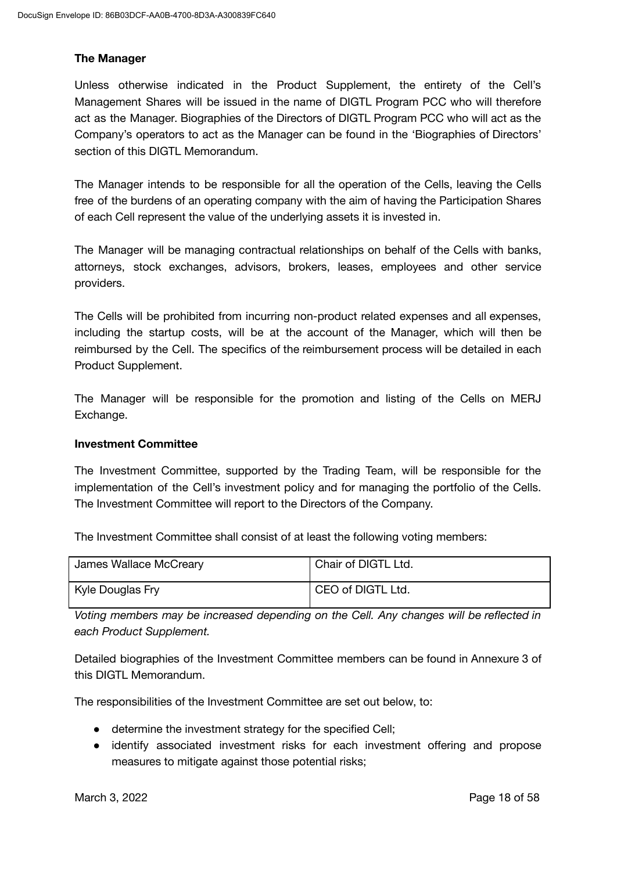### **The Manager**

Unless otherwise indicated in the Product Supplement, the entirety of the Cell's Management Shares will be issued in the name of DIGTL Program PCC who will therefore act as the Manager. Biographies of the Directors of DIGTL Program PCC who will act as the Company's operators to act as the Manager can be found in the 'Biographies of Directors' section of this DIGTL Memorandum.

The Manager intends to be responsible for all the operation of the Cells, leaving the Cells free of the burdens of an operating company with the aim of having the Participation Shares of each Cell represent the value of the underlying assets it is invested in.

The Manager will be managing contractual relationships on behalf of the Cells with banks, attorneys, stock exchanges, advisors, brokers, leases, employees and other service providers.

The Cells will be prohibited from incurring non-product related expenses and all expenses, including the startup costs, will be at the account of the Manager, which will then be reimbursed by the Cell. The specifics of the reimbursement process will be detailed in each Product Supplement.

The Manager will be responsible for the promotion and listing of the Cells on MERJ Exchange.

### **Investment Committee**

The Investment Committee, supported by the Trading Team, will be responsible for the implementation of the Cell's investment policy and for managing the portfolio of the Cells. The Investment Committee will report to the Directors of the Company.

The Investment Committee shall consist of at least the following voting members:

| James Wallace McCreary | Chair of DIGTL Ltd. |
|------------------------|---------------------|
| Kyle Douglas Fry       | CEO of DIGTL Ltd.   |

*Voting members may be increased depending on the Cell. Any changes will be reflected in each Product Supplement.*

Detailed biographies of the Investment Committee members can be found in Annexure 3 of this DIGTL Memorandum.

The responsibilities of the Investment Committee are set out below, to:

- determine the investment strategy for the specified Cell;
- identify associated investment risks for each investment offering and propose measures to mitigate against those potential risks;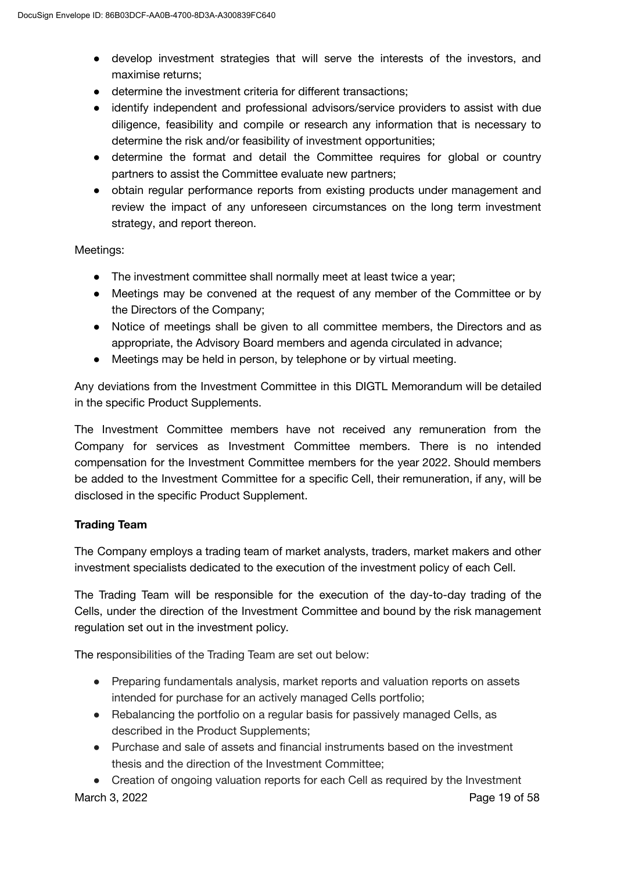- develop investment strategies that will serve the interests of the investors, and maximise returns;
- determine the investment criteria for different transactions;
- identify independent and professional advisors/service providers to assist with due diligence, feasibility and compile or research any information that is necessary to determine the risk and/or feasibility of investment opportunities;
- determine the format and detail the Committee requires for global or country partners to assist the Committee evaluate new partners;
- obtain regular performance reports from existing products under management and review the impact of any unforeseen circumstances on the long term investment strategy, and report thereon.

Meetings:

- The investment committee shall normally meet at least twice a year;
- Meetings may be convened at the request of any member of the Committee or by the Directors of the Company;
- Notice of meetings shall be given to all committee members, the Directors and as appropriate, the Advisory Board members and agenda circulated in advance;
- Meetings may be held in person, by telephone or by virtual meeting.

Any deviations from the Investment Committee in this DIGTL Memorandum will be detailed in the specific Product Supplements.

The Investment Committee members have not received any remuneration from the Company for services as Investment Committee members. There is no intended compensation for the Investment Committee members for the year 2022. Should members be added to the Investment Committee for a specific Cell, their remuneration, if any, will be disclosed in the specific Product Supplement.

### **Trading Team**

The Company employs a trading team of market analysts, traders, market makers and other investment specialists dedicated to the execution of the investment policy of each Cell.

The Trading Team will be responsible for the execution of the day-to-day trading of the Cells, under the direction of the Investment Committee and bound by the risk management regulation set out in the investment policy.

The responsibilities of the Trading Team are set out below:

- Preparing fundamentals analysis, market reports and valuation reports on assets intended for purchase for an actively managed Cells portfolio;
- Rebalancing the portfolio on a regular basis for passively managed Cells, as described in the Product Supplements;
- Purchase and sale of assets and financial instruments based on the investment thesis and the direction of the Investment Committee;
- Creation of ongoing valuation reports for each Cell as required by the Investment

March 3, 2022 **Page 19 of 58**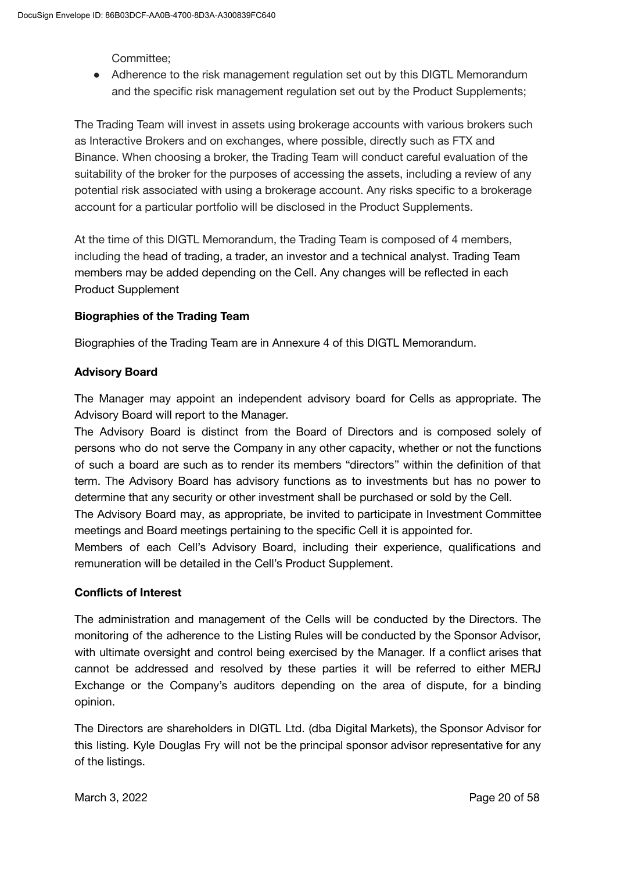Committee;

• Adherence to the risk management regulation set out by this DIGTL Memorandum and the specific risk management regulation set out by the Product Supplements;

The Trading Team will invest in assets using brokerage accounts with various brokers such as Interactive Brokers and on exchanges, where possible, directly such as FTX and Binance. When choosing a broker, the Trading Team will conduct careful evaluation of the suitability of the broker for the purposes of accessing the assets, including a review of any potential risk associated with using a brokerage account. Any risks specific to a brokerage account for a particular portfolio will be disclosed in the Product Supplements.

At the time of this DIGTL Memorandum, the Trading Team is composed of 4 members, including the head of trading, a trader, an investor and a technical analyst. Trading Team members may be added depending on the Cell. Any changes will be reflected in each Product Supplement

### **Biographies of the Trading Team**

Biographies of the Trading Team are in Annexure 4 of this DIGTL Memorandum.

### **Advisory Board**

The Manager may appoint an independent advisory board for Cells as appropriate. The Advisory Board will report to the Manager.

The Advisory Board is distinct from the Board of Directors and is composed solely of persons who do not serve the Company in any other capacity, whether or not the functions of such a board are such as to render its members "directors" within the definition of that term. The Advisory Board has advisory functions as to investments but has no power to determine that any security or other investment shall be purchased or sold by the Cell.

The Advisory Board may, as appropriate, be invited to participate in Investment Committee meetings and Board meetings pertaining to the specific Cell it is appointed for.

Members of each Cell's Advisory Board, including their experience, qualifications and remuneration will be detailed in the Cell's Product Supplement.

### **Conflicts of Interest**

The administration and management of the Cells will be conducted by the Directors. The monitoring of the adherence to the Listing Rules will be conducted by the Sponsor Advisor, with ultimate oversight and control being exercised by the Manager. If a conflict arises that cannot be addressed and resolved by these parties it will be referred to either MERJ Exchange or the Company's auditors depending on the area of dispute, for a binding opinion.

The Directors are shareholders in DIGTL Ltd. (dba Digital Markets), the Sponsor Advisor for this listing. Kyle Douglas Fry will not be the principal sponsor advisor representative for any of the listings.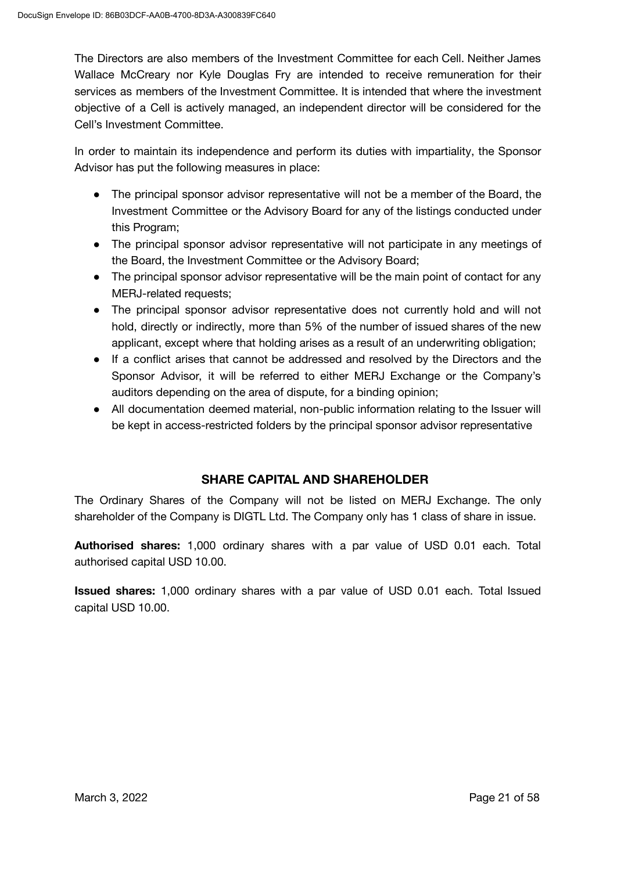The Directors are also members of the Investment Committee for each Cell. Neither James Wallace McCreary nor Kyle Douglas Fry are intended to receive remuneration for their services as members of the Investment Committee. It is intended that where the investment objective of a Cell is actively managed, an independent director will be considered for the Cell's Investment Committee.

In order to maintain its independence and perform its duties with impartiality, the Sponsor Advisor has put the following measures in place:

- The principal sponsor advisor representative will not be a member of the Board, the Investment Committee or the Advisory Board for any of the listings conducted under this Program;
- The principal sponsor advisor representative will not participate in any meetings of the Board, the Investment Committee or the Advisory Board;
- The principal sponsor advisor representative will be the main point of contact for any MERJ-related requests;
- The principal sponsor advisor representative does not currently hold and will not hold, directly or indirectly, more than 5% of the number of issued shares of the new applicant, except where that holding arises as a result of an underwriting obligation;
- If a conflict arises that cannot be addressed and resolved by the Directors and the Sponsor Advisor, it will be referred to either MERJ Exchange or the Company's auditors depending on the area of dispute, for a binding opinion;
- All documentation deemed material, non-public information relating to the Issuer will be kept in access-restricted folders by the principal sponsor advisor representative

### **SHARE CAPITAL AND SHAREHOLDER**

The Ordinary Shares of the Company will not be listed on MERJ Exchange. The only shareholder of the Company is DIGTL Ltd. The Company only has 1 class of share in issue.

**Authorised shares:** 1,000 ordinary shares with a par value of USD 0.01 each. Total authorised capital USD 10.00.

**Issued shares:** 1,000 ordinary shares with a par value of USD 0.01 each. Total Issued capital USD 10.00.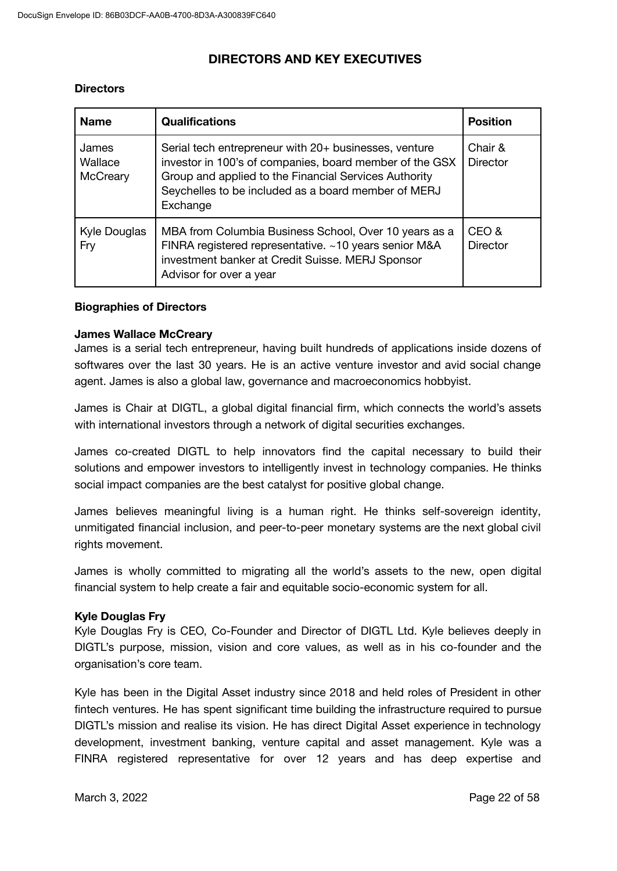### **DIRECTORS AND KEY EXECUTIVES**

### **Directors**

| <b>Name</b>                  | <b>Qualifications</b>                                                                                                                                                                                                                        | <b>Position</b>            |
|------------------------------|----------------------------------------------------------------------------------------------------------------------------------------------------------------------------------------------------------------------------------------------|----------------------------|
| James<br>Wallace<br>McCreary | Serial tech entrepreneur with 20+ businesses, venture<br>investor in 100's of companies, board member of the GSX<br>Group and applied to the Financial Services Authority<br>Seychelles to be included as a board member of MERJ<br>Exchange | Chair &<br><b>Director</b> |
| Kyle Douglas<br>Fry          | MBA from Columbia Business School, Over 10 years as a<br>FINRA registered representative. ~10 years senior M&A<br>investment banker at Credit Suisse. MERJ Sponsor<br>Advisor for over a year                                                | CEO &<br><b>Director</b>   |

#### **Biographies of Directors**

#### **James Wallace McCreary**

James is a serial tech entrepreneur, having built hundreds of applications inside dozens of softwares over the last 30 years. He is an active venture investor and avid social change agent. James is also a global law, governance and macroeconomics hobbyist.

James is Chair at DIGTL, a global digital financial firm, which connects the world's assets with international investors through a network of digital securities exchanges.

James co-created DIGTL to help innovators find the capital necessary to build their solutions and empower investors to intelligently invest in technology companies. He thinks social impact companies are the best catalyst for positive global change.

James believes meaningful living is a human right. He thinks self-sovereign identity, unmitigated financial inclusion, and peer-to-peer monetary systems are the next global civil rights movement.

James is wholly committed to migrating all the world's assets to the new, open digital financial system to help create a fair and equitable socio-economic system for all.

#### **Kyle Douglas Fry**

Kyle Douglas Fry is CEO, Co-Founder and Director of DIGTL Ltd. Kyle believes deeply in DIGTL's purpose, mission, vision and core values, as well as in his co-founder and the organisation's core team.

Kyle has been in the Digital Asset industry since 2018 and held roles of President in other fintech ventures. He has spent significant time building the infrastructure required to pursue DIGTL's mission and realise its vision. He has direct Digital Asset experience in technology development, investment banking, venture capital and asset management. Kyle was a FINRA registered representative for over 12 years and has deep expertise and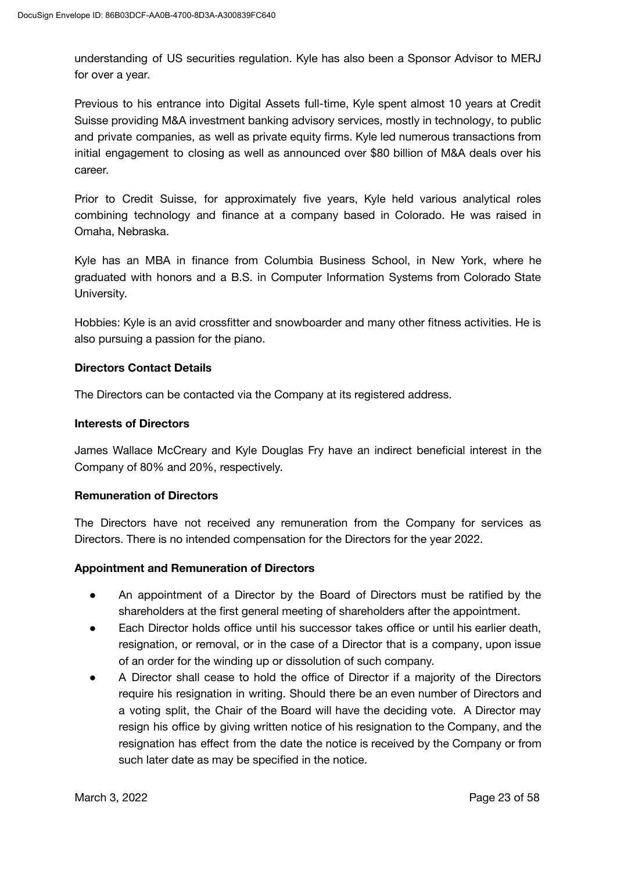understanding of US securities regulation. Kyle has also been a Sponsor Advisor to MERJ for over a year.

Previous to his entrance into Digital Assets full-time, Kyle spent almost 10 years at Credit Suisse providing M&A investment banking advisory services, mostly in technology, to public and private companies, as well as private equity firms. Kyle led numerous transactions from initial engagement to closing as well as announced over \$80 billion of M&A deals over his career.

Prior to Credit Suisse, for approximately five years, Kyle held various analytical roles combining technology and finance at a company based in Colorado. He was raised in Omaha, Nebraska.

Kyle has an MBA in finance from Columbia Business School, in New York, where he graduated with honors and a B.S. in Computer Information Systems from Colorado State University.

Hobbies: Kyle is an avid crossfitter and snowboarder and many other fitness activities. He is also pursuing a passion for the piano.

#### **Directors Contact Details**

The Directors can be contacted via the Company at its registered address.

#### **Interests of Directors**

James Wallace McCreary and Kyle Douglas Fry have an indirect beneficial interest in the Company of 80% and 20%, respectively.

#### **Remuneration of Directors**

The Directors have not received any remuneration from the Company for services as Directors. There is no intended compensation for the Directors for the year 2022.

#### **Appointment and Remuneration of Directors**

- An appointment of a Director by the Board of Directors must be ratified by the shareholders at the first general meeting of shareholders after the appointment.
- Each Director holds office until his successor takes office or until his earlier death, resignation, or removal, or in the case of a Director that is a company, upon issue of an order for the winding up or dissolution of such company.
- A Director shall cease to hold the office of Director if a majority of the Directors require his resignation in writing. Should there be an even number of Directors and a voting split, the Chair of the Board will have the deciding vote. A Director may resign his office by giving written notice of his resignation to the Company, and the resignation has effect from the date the notice is received by the Company or from such later date as may be specified in the notice.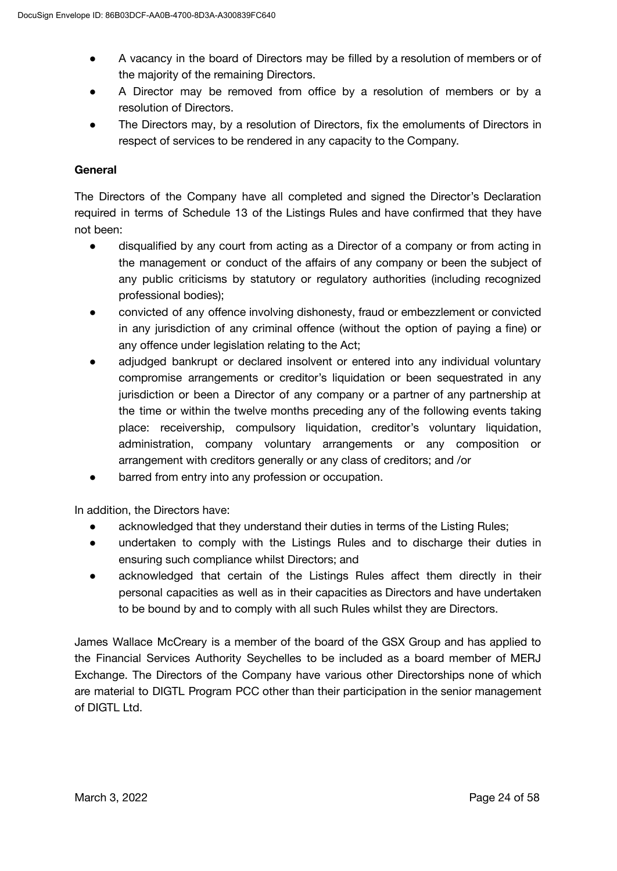- A vacancy in the board of Directors may be filled by a resolution of members or of the majority of the remaining Directors.
- A Director may be removed from office by a resolution of members or by a resolution of Directors.
- The Directors may, by a resolution of Directors, fix the emoluments of Directors in respect of services to be rendered in any capacity to the Company.

### **General**

The Directors of the Company have all completed and signed the Director's Declaration required in terms of Schedule 13 of the Listings Rules and have confirmed that they have not been:

- disqualified by any court from acting as a Director of a company or from acting in the management or conduct of the affairs of any company or been the subject of any public criticisms by statutory or regulatory authorities (including recognized professional bodies);
- convicted of any offence involving dishonesty, fraud or embezzlement or convicted in any jurisdiction of any criminal offence (without the option of paying a fine) or any offence under legislation relating to the Act;
- adjudged bankrupt or declared insolvent or entered into any individual voluntary compromise arrangements or creditor's liquidation or been sequestrated in any jurisdiction or been a Director of any company or a partner of any partnership at the time or within the twelve months preceding any of the following events taking place: receivership, compulsory liquidation, creditor's voluntary liquidation, administration, company voluntary arrangements or any composition or arrangement with creditors generally or any class of creditors; and /or
- barred from entry into any profession or occupation.

In addition, the Directors have:

- acknowledged that they understand their duties in terms of the Listing Rules;
- undertaken to comply with the Listings Rules and to discharge their duties in ensuring such compliance whilst Directors; and
- acknowledged that certain of the Listings Rules affect them directly in their personal capacities as well as in their capacities as Directors and have undertaken to be bound by and to comply with all such Rules whilst they are Directors.

James Wallace McCreary is a member of the board of the GSX Group and has applied to the Financial Services Authority Seychelles to be included as a board member of MERJ Exchange. The Directors of the Company have various other Directorships none of which are material to DIGTL Program PCC other than their participation in the senior management of DIGTL Ltd.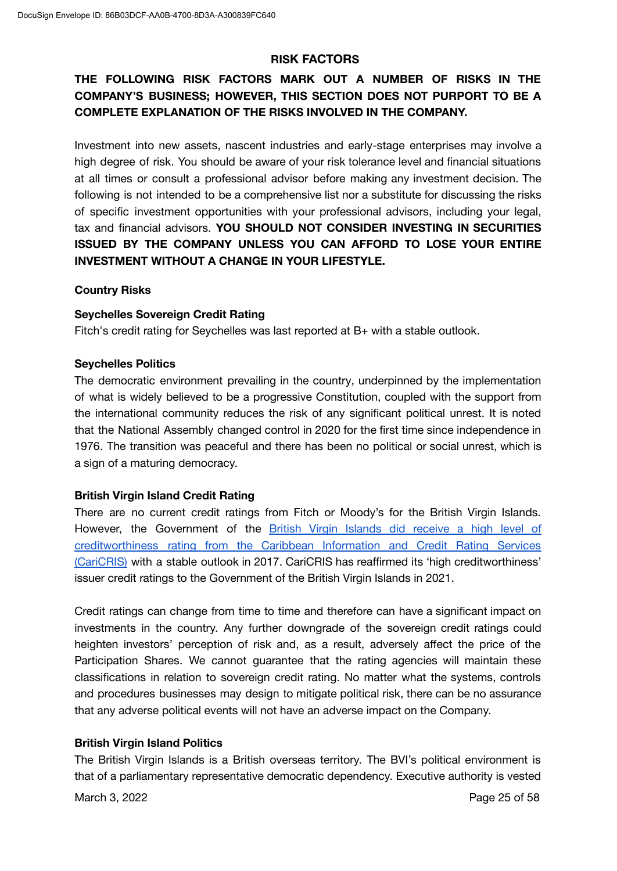### **RISK FACTORS**

## **THE FOLLOWING RISK FACTORS MARK OUT A NUMBER OF RISKS IN THE COMPANY'S BUSINESS; HOWEVER, THIS SECTION DOES NOT PURPORT TO BE A COMPLETE EXPLANATION OF THE RISKS INVOLVED IN THE COMPANY.**

Investment into new assets, nascent industries and early-stage enterprises may involve a high degree of risk. You should be aware of your risk tolerance level and financial situations at all times or consult a professional advisor before making any investment decision. The following is not intended to be a comprehensive list nor a substitute for discussing the risks of specific investment opportunities with your professional advisors, including your legal, tax and financial advisors. **YOU SHOULD NOT CONSIDER INVESTING IN SECURITIES ISSUED BY THE COMPANY UNLESS YOU CAN AFFORD TO LOSE YOUR ENTIRE INVESTMENT WITHOUT A CHANGE IN YOUR LIFESTYLE.**

### **Country Risks**

### **Seychelles Sovereign Credit Rating**

Fitch's credit rating for Seychelles was last reported at B+ with a stable outlook.

#### **Seychelles Politics**

The democratic environment prevailing in the country, underpinned by the implementation of what is widely believed to be a progressive Constitution, coupled with the support from the international community reduces the risk of any significant political unrest. It is noted that the National Assembly changed control in 2020 for the first time since independence in 1976. The transition was peaceful and there has been no political or social unrest, which is a sign of a maturing democracy.

### **British Virgin Island Credit Rating**

There are no current credit ratings from Fitch or Moody's for the British Virgin Islands. However, the Government of the British Virgin Islands did [receive](http://www.bvi.gov.vg/sites/default/files/263_-_government_receives_high_credit_rating_from_regional_body_-_report.pdf) a high level of [creditworthiness](http://www.bvi.gov.vg/sites/default/files/263_-_government_receives_high_credit_rating_from_regional_body_-_report.pdf) rating from the Caribbean Information and Credit Rating Services [\(CariCRIS\)](http://www.bvi.gov.vg/sites/default/files/263_-_government_receives_high_credit_rating_from_regional_body_-_report.pdf) with a stable outlook in 2017. CariCRIS has reaffirmed its 'high creditworthiness' issuer credit ratings to the Government of the British Virgin Islands in 2021.

Credit ratings can change from time to time and therefore can have a significant impact on investments in the country. Any further downgrade of the sovereign credit ratings could heighten investors' perception of risk and, as a result, adversely affect the price of the Participation Shares. We cannot guarantee that the rating agencies will maintain these classifications in relation to sovereign credit rating. No matter what the systems, controls and procedures businesses may design to mitigate political risk, there can be no assurance that any adverse political events will not have an adverse impact on the Company.

### **British Virgin Island Politics**

The British Virgin Islands is a British overseas territory. The BVI's political environment is that of a parliamentary representative democratic dependency. Executive authority is vested

March 3, 2022 **Page 25 of 58**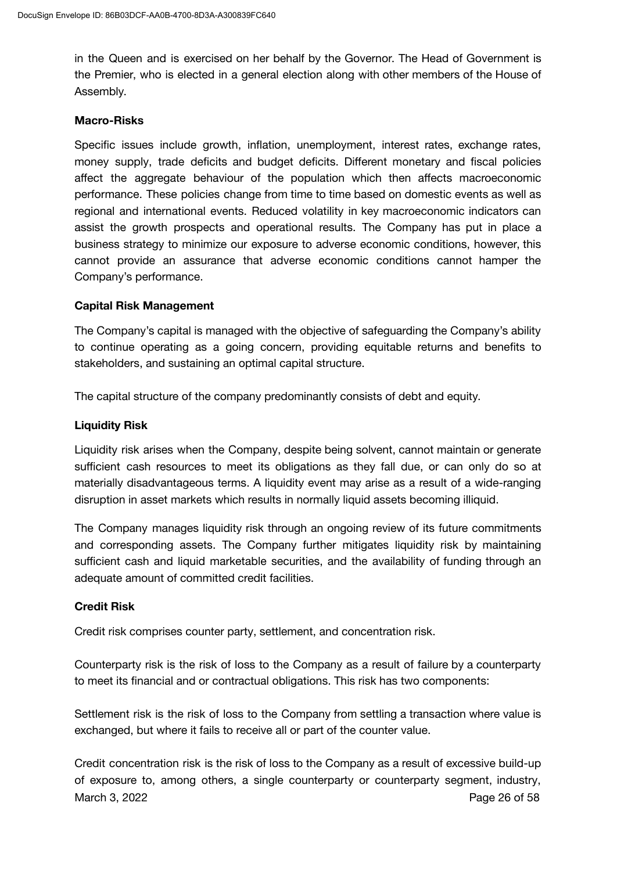in the Queen and is exercised on her behalf by the Governor. The Head of Government is the Premier, who is elected in a general election along with other members of the House of Assembly.

#### **Macro-Risks**

Specific issues include growth, inflation, unemployment, interest rates, exchange rates, money supply, trade deficits and budget deficits. Different monetary and fiscal policies affect the aggregate behaviour of the population which then affects macroeconomic performance. These policies change from time to time based on domestic events as well as regional and international events. Reduced volatility in key macroeconomic indicators can assist the growth prospects and operational results. The Company has put in place a business strategy to minimize our exposure to adverse economic conditions, however, this cannot provide an assurance that adverse economic conditions cannot hamper the Company's performance.

### **Capital Risk Management**

The Company's capital is managed with the objective of safeguarding the Company's ability to continue operating as a going concern, providing equitable returns and benefits to stakeholders, and sustaining an optimal capital structure.

The capital structure of the company predominantly consists of debt and equity.

### **Liquidity Risk**

Liquidity risk arises when the Company, despite being solvent, cannot maintain or generate sufficient cash resources to meet its obligations as they fall due, or can only do so at materially disadvantageous terms. A liquidity event may arise as a result of a wide-ranging disruption in asset markets which results in normally liquid assets becoming illiquid.

The Company manages liquidity risk through an ongoing review of its future commitments and corresponding assets. The Company further mitigates liquidity risk by maintaining sufficient cash and liquid marketable securities, and the availability of funding through an adequate amount of committed credit facilities.

### **Credit Risk**

Credit risk comprises counter party, settlement, and concentration risk.

Counterparty risk is the risk of loss to the Company as a result of failure by a counterparty to meet its financial and or contractual obligations. This risk has two components:

Settlement risk is the risk of loss to the Company from settling a transaction where value is exchanged, but where it fails to receive all or part of the counter value.

Credit concentration risk is the risk of loss to the Company as a result of excessive build-up of exposure to, among others, a single counterparty or counterparty segment, industry, March 3, 2022 **Page 26 of 58**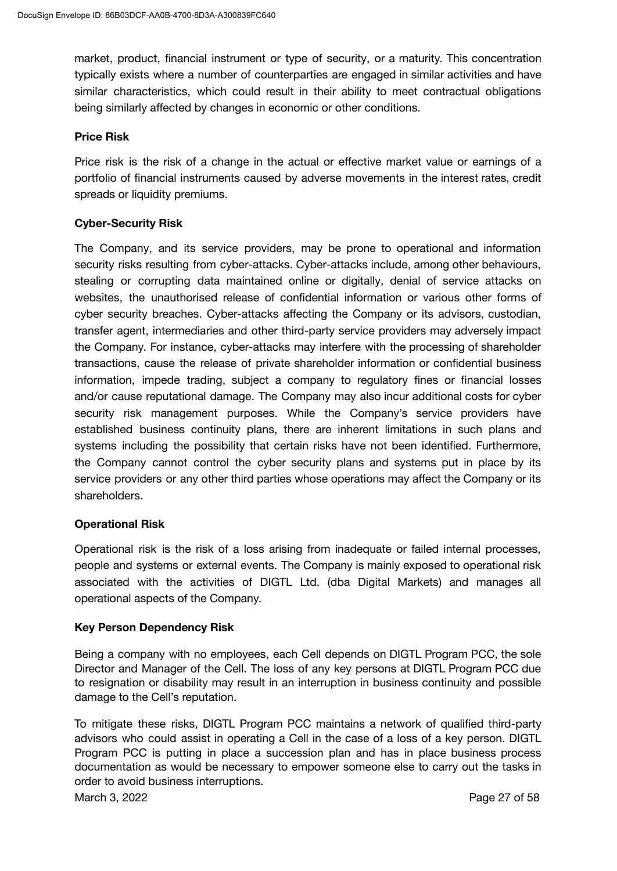market, product, financial instrument or type of security, or a maturity. This concentration typically exists where a number of counterparties are engaged in similar activities and have similar characteristics, which could result in their ability to meet contractual obligations being similarly affected by changes in economic or other conditions.

### **Price Risk**

Price risk is the risk of a change in the actual or effective market value or earnings of a portfolio of financial instruments caused by adverse movements in the interest rates, credit spreads or liquidity premiums.

### **Cyber-Security Risk**

The Company, and its service providers, may be prone to operational and information security risks resulting from cyber-attacks. Cyber-attacks include, among other behaviours, stealing or corrupting data maintained online or digitally, denial of service attacks on websites, the unauthorised release of confidential information or various other forms of cyber security breaches. Cyber-attacks affecting the Company or its advisors, custodian, transfer agent, intermediaries and other third-party service providers may adversely impact the Company. For instance, cyber-attacks may interfere with the processing of shareholder transactions, cause the release of private shareholder information or confidential business information, impede trading, subject a company to regulatory fines or financial losses and/or cause reputational damage. The Company may also incur additional costs for cyber security risk management purposes. While the Company's service providers have established business continuity plans, there are inherent limitations in such plans and systems including the possibility that certain risks have not been identified. Furthermore, the Company cannot control the cyber security plans and systems put in place by its service providers or any other third parties whose operations may affect the Company or its shareholders.

### **Operational Risk**

Operational risk is the risk of a loss arising from inadequate or failed internal processes, people and systems or external events. The Company is mainly exposed to operational risk associated with the activities of DIGTL Ltd. (dba Digital Markets) and manages all operational aspects of the Company.

### **Key Person Dependency Risk**

Being a company with no employees, each Cell depends on DIGTL Program PCC, the sole Director and Manager of the Cell. The loss of any key persons at DIGTL Program PCC due to resignation or disability may result in an interruption in business continuity and possible damage to the Cell's reputation.

To mitigate these risks, DIGTL Program PCC maintains a network of qualified third-party advisors who could assist in operating a Cell in the case of a loss of a key person. DIGTL Program PCC is putting in place a succession plan and has in place business process documentation as would be necessary to empower someone else to carry out the tasks in order to avoid business interruptions.

March 3, 2022 **Page 27 of 58**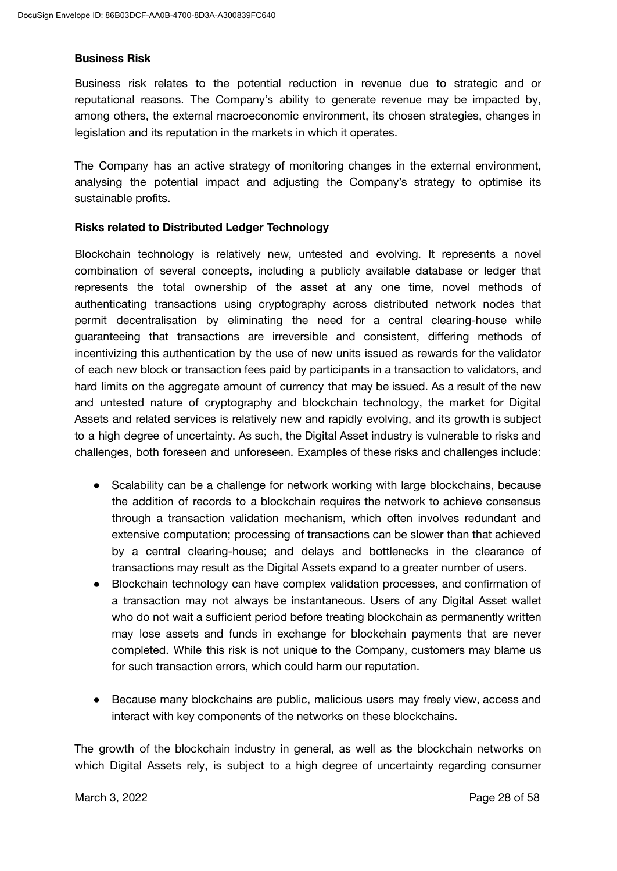#### **Business Risk**

Business risk relates to the potential reduction in revenue due to strategic and or reputational reasons. The Company's ability to generate revenue may be impacted by, among others, the external macroeconomic environment, its chosen strategies, changes in legislation and its reputation in the markets in which it operates.

The Company has an active strategy of monitoring changes in the external environment, analysing the potential impact and adjusting the Company's strategy to optimise its sustainable profits.

#### **Risks related to Distributed Ledger Technology**

Blockchain technology is relatively new, untested and evolving. It represents a novel combination of several concepts, including a publicly available database or ledger that represents the total ownership of the asset at any one time, novel methods of authenticating transactions using cryptography across distributed network nodes that permit decentralisation by eliminating the need for a central clearing-house while guaranteeing that transactions are irreversible and consistent, differing methods of incentivizing this authentication by the use of new units issued as rewards for the validator of each new block or transaction fees paid by participants in a transaction to validators, and hard limits on the aggregate amount of currency that may be issued. As a result of the new and untested nature of cryptography and blockchain technology, the market for Digital Assets and related services is relatively new and rapidly evolving, and its growth is subject to a high degree of uncertainty. As such, the Digital Asset industry is vulnerable to risks and challenges, both foreseen and unforeseen. Examples of these risks and challenges include:

- Scalability can be a challenge for network working with large blockchains, because the addition of records to a blockchain requires the network to achieve consensus through a transaction validation mechanism, which often involves redundant and extensive computation; processing of transactions can be slower than that achieved by a central clearing-house; and delays and bottlenecks in the clearance of transactions may result as the Digital Assets expand to a greater number of users.
- Blockchain technology can have complex validation processes, and confirmation of a transaction may not always be instantaneous. Users of any Digital Asset wallet who do not wait a sufficient period before treating blockchain as permanently written may lose assets and funds in exchange for blockchain payments that are never completed. While this risk is not unique to the Company, customers may blame us for such transaction errors, which could harm our reputation.
- Because many blockchains are public, malicious users may freely view, access and interact with key components of the networks on these blockchains.

The growth of the blockchain industry in general, as well as the blockchain networks on which Digital Assets rely, is subject to a high degree of uncertainty regarding consumer

March 3, 2022 **Page 28 of 58**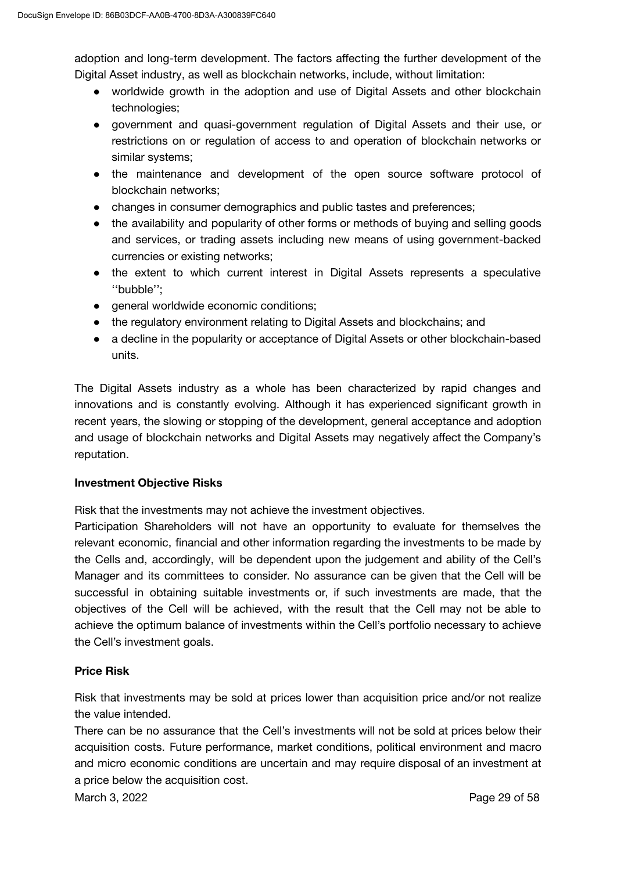adoption and long-term development. The factors affecting the further development of the Digital Asset industry, as well as blockchain networks, include, without limitation:

- worldwide growth in the adoption and use of Digital Assets and other blockchain technologies;
- government and quasi-government regulation of Digital Assets and their use, or restrictions on or regulation of access to and operation of blockchain networks or similar systems;
- the maintenance and development of the open source software protocol of blockchain networks;
- changes in consumer demographics and public tastes and preferences;
- the availability and popularity of other forms or methods of buying and selling goods and services, or trading assets including new means of using government-backed currencies or existing networks;
- the extent to which current interest in Digital Assets represents a speculative ''bubble'';
- general worldwide economic conditions;
- the regulatory environment relating to Digital Assets and blockchains; and
- a decline in the popularity or acceptance of Digital Assets or other blockchain-based units.

The Digital Assets industry as a whole has been characterized by rapid changes and innovations and is constantly evolving. Although it has experienced significant growth in recent years, the slowing or stopping of the development, general acceptance and adoption and usage of blockchain networks and Digital Assets may negatively affect the Company's reputation.

### **Investment Objective Risks**

Risk that the investments may not achieve the investment objectives.

Participation Shareholders will not have an opportunity to evaluate for themselves the relevant economic, financial and other information regarding the investments to be made by the Cells and, accordingly, will be dependent upon the judgement and ability of the Cell's Manager and its committees to consider. No assurance can be given that the Cell will be successful in obtaining suitable investments or, if such investments are made, that the objectives of the Cell will be achieved, with the result that the Cell may not be able to achieve the optimum balance of investments within the Cell's portfolio necessary to achieve the Cell's investment goals.

### **Price Risk**

Risk that investments may be sold at prices lower than acquisition price and/or not realize the value intended.

There can be no assurance that the Cell's investments will not be sold at prices below their acquisition costs. Future performance, market conditions, political environment and macro and micro economic conditions are uncertain and may require disposal of an investment at a price below the acquisition cost.

March 3, 2022 **Page 29 of 58**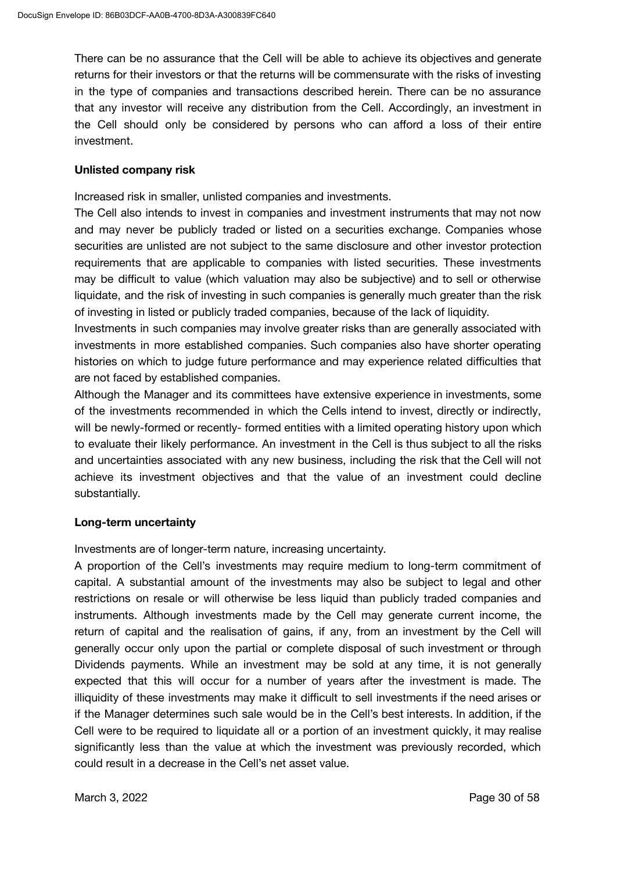There can be no assurance that the Cell will be able to achieve its objectives and generate returns for their investors or that the returns will be commensurate with the risks of investing in the type of companies and transactions described herein. There can be no assurance that any investor will receive any distribution from the Cell. Accordingly, an investment in the Cell should only be considered by persons who can afford a loss of their entire investment.

#### **Unlisted company risk**

Increased risk in smaller, unlisted companies and investments.

The Cell also intends to invest in companies and investment instruments that may not now and may never be publicly traded or listed on a securities exchange. Companies whose securities are unlisted are not subject to the same disclosure and other investor protection requirements that are applicable to companies with listed securities. These investments may be difficult to value (which valuation may also be subjective) and to sell or otherwise liquidate, and the risk of investing in such companies is generally much greater than the risk of investing in listed or publicly traded companies, because of the lack of liquidity.

Investments in such companies may involve greater risks than are generally associated with investments in more established companies. Such companies also have shorter operating histories on which to judge future performance and may experience related difficulties that are not faced by established companies.

Although the Manager and its committees have extensive experience in investments, some of the investments recommended in which the Cells intend to invest, directly or indirectly, will be newly-formed or recently- formed entities with a limited operating history upon which to evaluate their likely performance. An investment in the Cell is thus subject to all the risks and uncertainties associated with any new business, including the risk that the Cell will not achieve its investment objectives and that the value of an investment could decline substantially.

### **Long-term uncertainty**

Investments are of longer-term nature, increasing uncertainty.

A proportion of the Cell's investments may require medium to long-term commitment of capital. A substantial amount of the investments may also be subject to legal and other restrictions on resale or will otherwise be less liquid than publicly traded companies and instruments. Although investments made by the Cell may generate current income, the return of capital and the realisation of gains, if any, from an investment by the Cell will generally occur only upon the partial or complete disposal of such investment or through Dividends payments. While an investment may be sold at any time, it is not generally expected that this will occur for a number of years after the investment is made. The illiquidity of these investments may make it difficult to sell investments if the need arises or if the Manager determines such sale would be in the Cell's best interests. In addition, if the Cell were to be required to liquidate all or a portion of an investment quickly, it may realise significantly less than the value at which the investment was previously recorded, which could result in a decrease in the Cell's net asset value.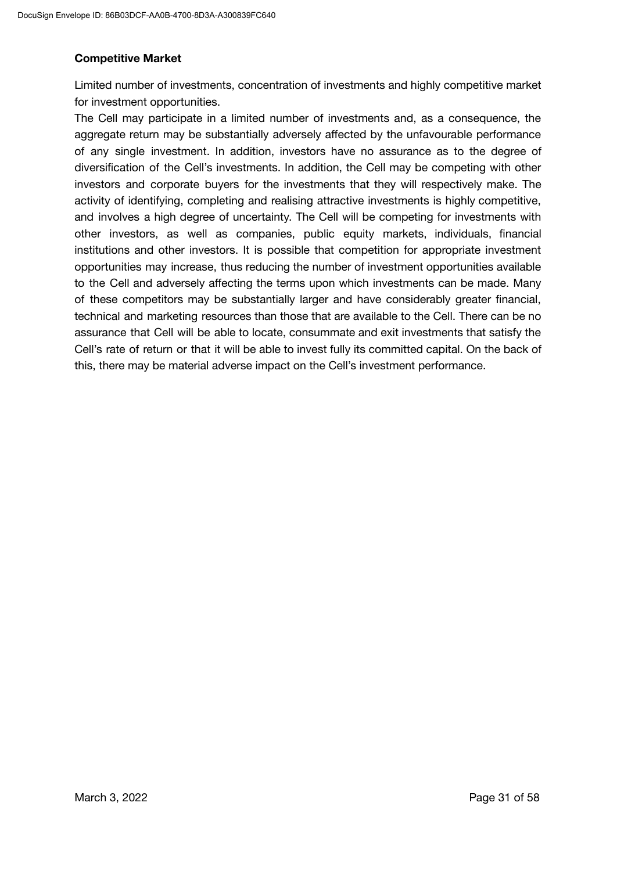### **Competitive Market**

Limited number of investments, concentration of investments and highly competitive market for investment opportunities.

The Cell may participate in a limited number of investments and, as a consequence, the aggregate return may be substantially adversely affected by the unfavourable performance of any single investment. In addition, investors have no assurance as to the degree of diversification of the Cell's investments. In addition, the Cell may be competing with other investors and corporate buyers for the investments that they will respectively make. The activity of identifying, completing and realising attractive investments is highly competitive, and involves a high degree of uncertainty. The Cell will be competing for investments with other investors, as well as companies, public equity markets, individuals, financial institutions and other investors. It is possible that competition for appropriate investment opportunities may increase, thus reducing the number of investment opportunities available to the Cell and adversely affecting the terms upon which investments can be made. Many of these competitors may be substantially larger and have considerably greater financial, technical and marketing resources than those that are available to the Cell. There can be no assurance that Cell will be able to locate, consummate and exit investments that satisfy the Cell's rate of return or that it will be able to invest fully its committed capital. On the back of this, there may be material adverse impact on the Cell's investment performance.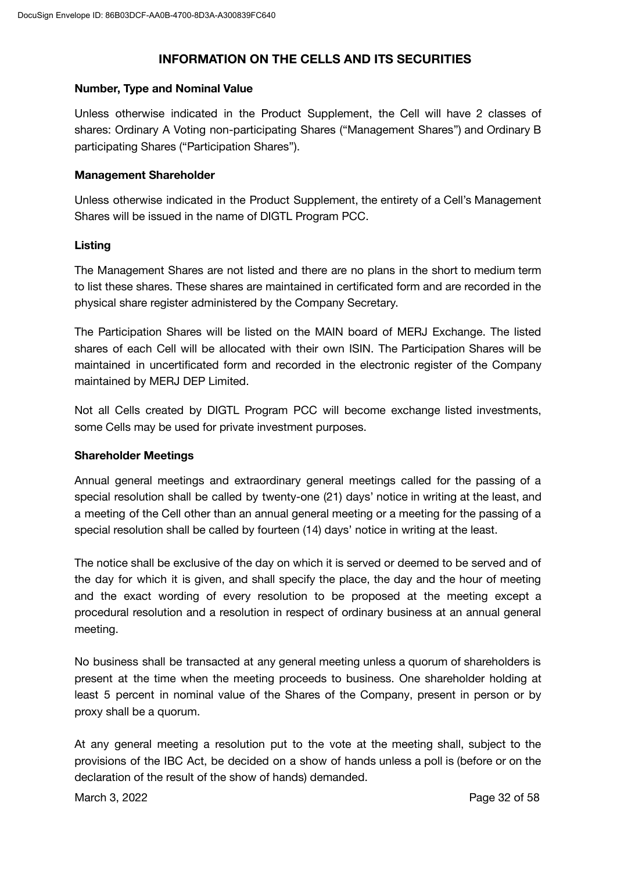### **INFORMATION ON THE CELLS AND ITS SECURITIES**

#### **Number, Type and Nominal Value**

Unless otherwise indicated in the Product Supplement, the Cell will have 2 classes of shares: Ordinary A Voting non-participating Shares ("Management Shares") and Ordinary B participating Shares ("Participation Shares").

### **Management Shareholder**

Unless otherwise indicated in the Product Supplement, the entirety of a Cell's Management Shares will be issued in the name of DIGTL Program PCC.

### **Listing**

The Management Shares are not listed and there are no plans in the short to medium term to list these shares. These shares are maintained in certificated form and are recorded in the physical share register administered by the Company Secretary.

The Participation Shares will be listed on the MAIN board of MERJ Exchange. The listed shares of each Cell will be allocated with their own ISIN. The Participation Shares will be maintained in uncertificated form and recorded in the electronic register of the Company maintained by MERJ DEP Limited.

Not all Cells created by DIGTL Program PCC will become exchange listed investments, some Cells may be used for private investment purposes.

### **Shareholder Meetings**

Annual general meetings and extraordinary general meetings called for the passing of a special resolution shall be called by twenty-one (21) days' notice in writing at the least, and a meeting of the Cell other than an annual general meeting or a meeting for the passing of a special resolution shall be called by fourteen (14) days' notice in writing at the least.

The notice shall be exclusive of the day on which it is served or deemed to be served and of the day for which it is given, and shall specify the place, the day and the hour of meeting and the exact wording of every resolution to be proposed at the meeting except a procedural resolution and a resolution in respect of ordinary business at an annual general meeting.

No business shall be transacted at any general meeting unless a quorum of shareholders is present at the time when the meeting proceeds to business. One shareholder holding at least 5 percent in nominal value of the Shares of the Company, present in person or by proxy shall be a quorum.

At any general meeting a resolution put to the vote at the meeting shall, subject to the provisions of the IBC Act, be decided on a show of hands unless a poll is (before or on the declaration of the result of the show of hands) demanded.

March 3, 2022 **Page 32 of 58**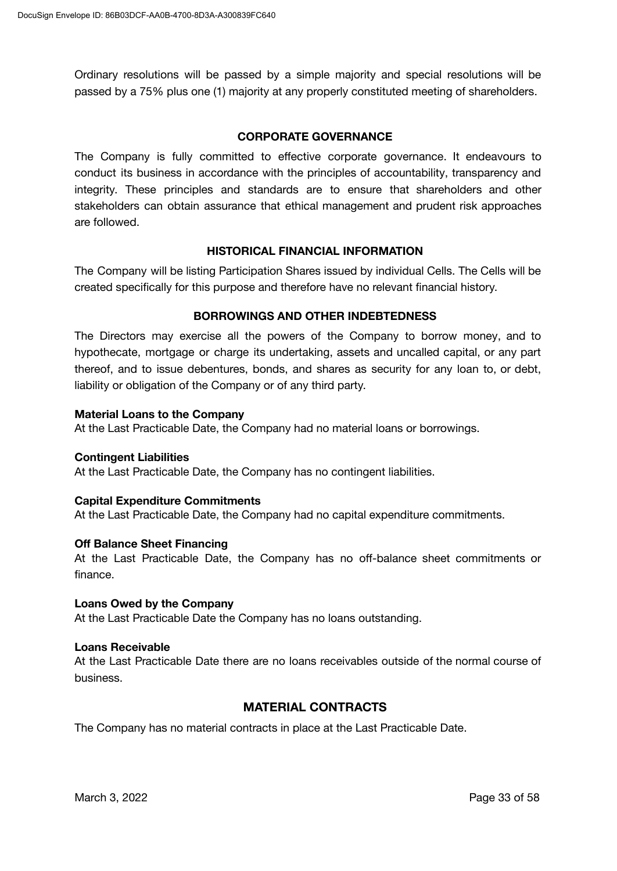Ordinary resolutions will be passed by a simple majority and special resolutions will be passed by a 75% plus one (1) majority at any properly constituted meeting of shareholders.

#### **CORPORATE GOVERNANCE**

The Company is fully committed to effective corporate governance. It endeavours to conduct its business in accordance with the principles of accountability, transparency and integrity. These principles and standards are to ensure that shareholders and other stakeholders can obtain assurance that ethical management and prudent risk approaches are followed.

#### **HISTORICAL FINANCIAL INFORMATION**

The Company will be listing Participation Shares issued by individual Cells. The Cells will be created specifically for this purpose and therefore have no relevant financial history.

### **BORROWINGS AND OTHER INDEBTEDNESS**

The Directors may exercise all the powers of the Company to borrow money, and to hypothecate, mortgage or charge its undertaking, assets and uncalled capital, or any part thereof, and to issue debentures, bonds, and shares as security for any loan to, or debt, liability or obligation of the Company or of any third party.

#### **Material Loans to the Company**

At the Last Practicable Date, the Company had no material loans or borrowings.

#### **Contingent Liabilities**

At the Last Practicable Date, the Company has no contingent liabilities.

#### **Capital Expenditure Commitments**

At the Last Practicable Date, the Company had no capital expenditure commitments.

#### **Off Balance Sheet Financing**

At the Last Practicable Date, the Company has no off-balance sheet commitments or finance.

#### **Loans Owed by the Company**

At the Last Practicable Date the Company has no loans outstanding.

#### **Loans Receivable**

At the Last Practicable Date there are no loans receivables outside of the normal course of business.

### **MATERIAL CONTRACTS**

The Company has no material contracts in place at the Last Practicable Date.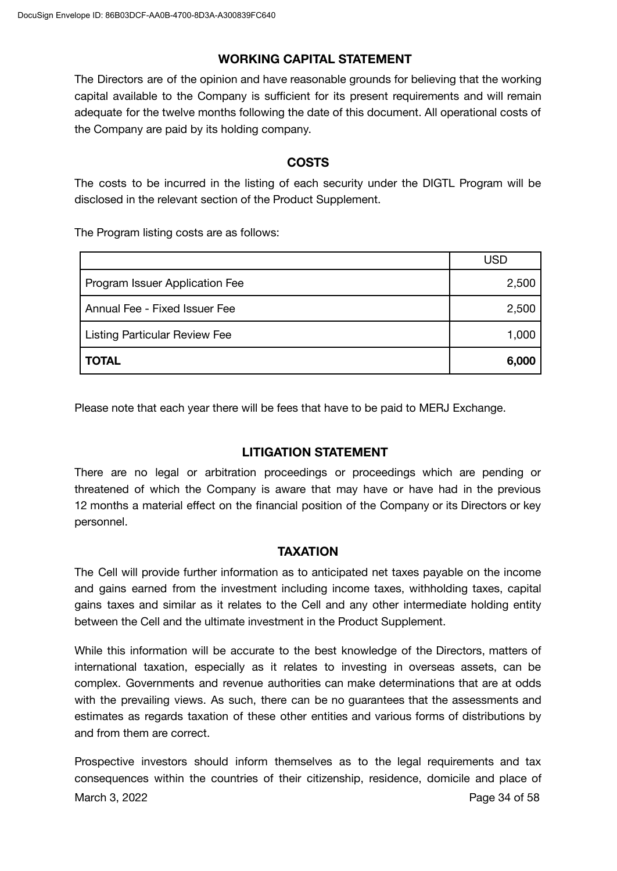### **WORKING CAPITAL STATEMENT**

The Directors are of the opinion and have reasonable grounds for believing that the working capital available to the Company is sufficient for its present requirements and will remain adequate for the twelve months following the date of this document. All operational costs of the Company are paid by its holding company.

### **COSTS**

The costs to be incurred in the listing of each security under the DIGTL Program will be disclosed in the relevant section of the Product Supplement.

The Program listing costs are as follows:

|                                      | USD   |
|--------------------------------------|-------|
| Program Issuer Application Fee       | 2,500 |
| Annual Fee - Fixed Issuer Fee        | 2,500 |
| <b>Listing Particular Review Fee</b> | 1,000 |
| <b>TOTAL</b>                         | 6,000 |

Please note that each year there will be fees that have to be paid to MERJ Exchange.

### **LITIGATION STATEMENT**

There are no legal or arbitration proceedings or proceedings which are pending or threatened of which the Company is aware that may have or have had in the previous 12 months a material effect on the financial position of the Company or its Directors or key personnel.

### **TAXATION**

The Cell will provide further information as to anticipated net taxes payable on the income and gains earned from the investment including income taxes, withholding taxes, capital gains taxes and similar as it relates to the Cell and any other intermediate holding entity between the Cell and the ultimate investment in the Product Supplement.

While this information will be accurate to the best knowledge of the Directors, matters of international taxation, especially as it relates to investing in overseas assets, can be complex. Governments and revenue authorities can make determinations that are at odds with the prevailing views. As such, there can be no guarantees that the assessments and estimates as regards taxation of these other entities and various forms of distributions by and from them are correct.

Prospective investors should inform themselves as to the legal requirements and tax consequences within the countries of their citizenship, residence, domicile and place of March 3, 2022 **Page 34 of 58**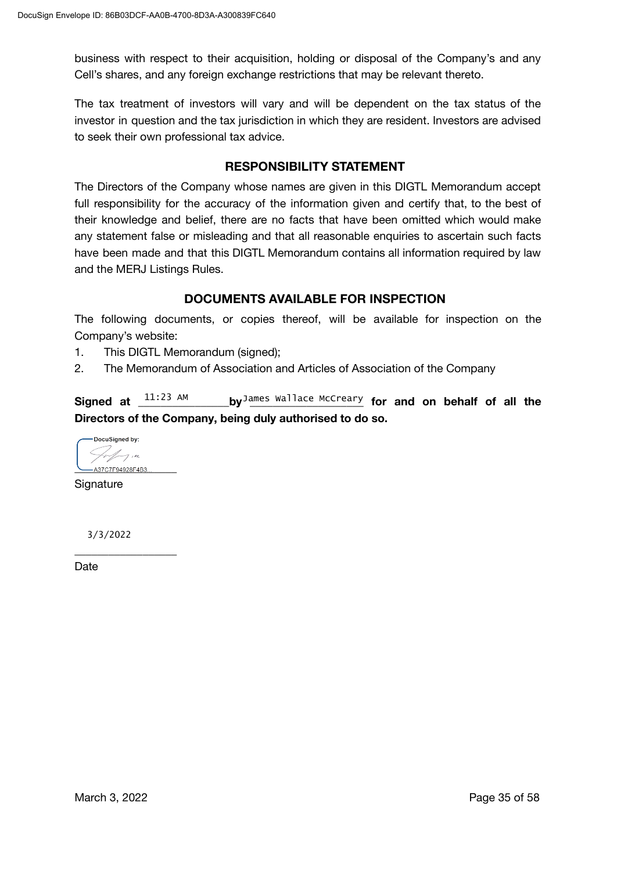business with respect to their acquisition, holding or disposal of the Company's and any Cell's shares, and any foreign exchange restrictions that may be relevant thereto.

The tax treatment of investors will vary and will be dependent on the tax status of the investor in question and the tax jurisdiction in which they are resident. Investors are advised to seek their own professional tax advice.

### **RESPONSIBILITY STATEMENT**

The Directors of the Company whose names are given in this DIGTL Memorandum accept full responsibility for the accuracy of the information given and certify that, to the best of their knowledge and belief, there are no facts that have been omitted which would make any statement false or misleading and that all reasonable enquiries to ascertain such facts have been made and that this DIGTL Memorandum contains all information required by law and the MERJ Listings Rules.

### **DOCUMENTS AVAILABLE FOR INSPECTION**

The following documents, or copies thereof, will be available for inspection on the Company's website:

- 1. This DIGTL Memorandum (signed);
- 2. The Memorandum of Association and Articles of Association of the Company

**Signed at \_\_\_\_\_\_\_\_\_\_\_\_\_\_\_\_by \_\_\_\_\_\_\_\_\_\_\_\_\_\_\_\_\_\_\_\_ for and on behalf of all the** James Wallace McCreary **Directors of the Company, being duly authorised to do so.** Signed at  $11:23$  AM

DocuSigned by:  $\not\sim$   $\not\sim$   $\not\sim$ **\_\_\_\_\_\_\_\_\_\_\_\_\_\_\_\_\_\_**

**Signature** 

3/3/2022

**\_\_\_\_\_\_\_\_\_\_\_\_\_\_\_\_\_\_**

**Date**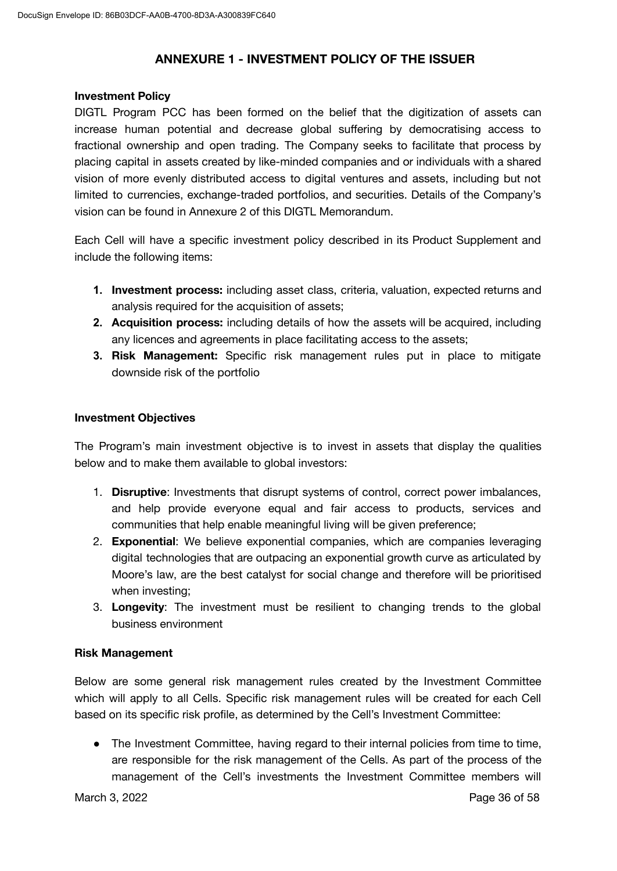### **ANNEXURE 1 - INVESTMENT POLICY OF THE ISSUER**

#### **Investment Policy**

DIGTL Program PCC has been formed on the belief that the digitization of assets can increase human potential and decrease global suffering by democratising access to fractional ownership and open trading. The Company seeks to facilitate that process by placing capital in assets created by like-minded companies and or individuals with a shared vision of more evenly distributed access to digital ventures and assets, including but not limited to currencies, exchange-traded portfolios, and securities. Details of the Company's vision can be found in Annexure 2 of this DIGTL Memorandum.

Each Cell will have a specific investment policy described in its Product Supplement and include the following items:

- **1. Investment process:** including asset class, criteria, valuation, expected returns and analysis required for the acquisition of assets;
- **2. Acquisition process:** including details of how the assets will be acquired, including any licences and agreements in place facilitating access to the assets;
- **3. Risk Management:** Specific risk management rules put in place to mitigate downside risk of the portfolio

### **Investment Objectives**

The Program's main investment objective is to invest in assets that display the qualities below and to make them available to global investors:

- 1. **Disruptive**: Investments that disrupt systems of control, correct power imbalances, and help provide everyone equal and fair access to products, services and communities that help enable meaningful living will be given preference;
- 2. **Exponential**: We believe exponential companies, which are companies leveraging digital technologies that are outpacing an exponential growth curve as articulated by Moore's law, are the best catalyst for social change and therefore will be prioritised when investing;
- 3. **Longevity**: The investment must be resilient to changing trends to the global business environment

### **Risk Management**

Below are some general risk management rules created by the Investment Committee which will apply to all Cells. Specific risk management rules will be created for each Cell based on its specific risk profile, as determined by the Cell's Investment Committee:

● The Investment Committee, having regard to their internal policies from time to time, are responsible for the risk management of the Cells. As part of the process of the management of the Cell's investments the Investment Committee members will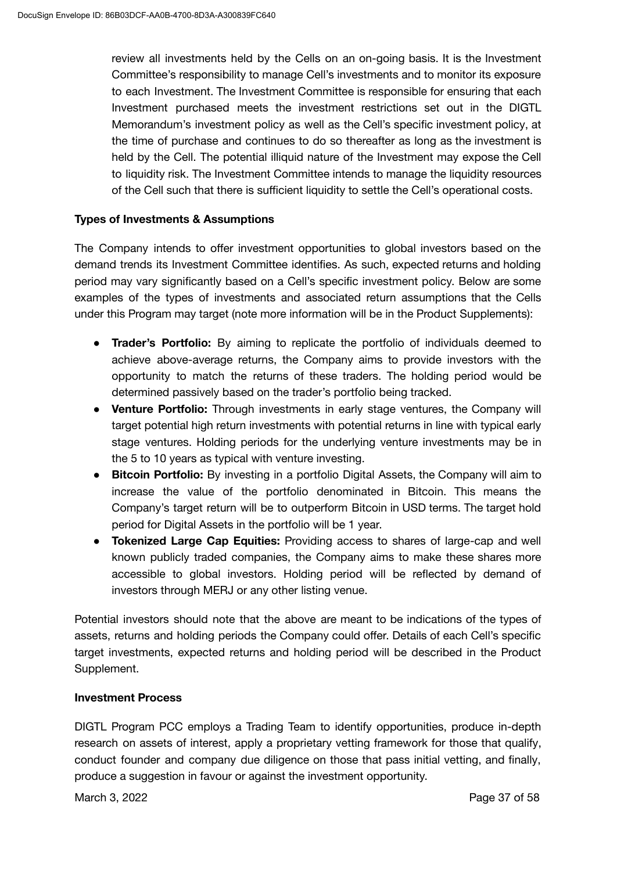review all investments held by the Cells on an on-going basis. It is the Investment Committee's responsibility to manage Cell's investments and to monitor its exposure to each Investment. The Investment Committee is responsible for ensuring that each Investment purchased meets the investment restrictions set out in the DIGTL Memorandum's investment policy as well as the Cell's specific investment policy, at the time of purchase and continues to do so thereafter as long as the investment is held by the Cell. The potential illiquid nature of the Investment may expose the Cell to liquidity risk. The Investment Committee intends to manage the liquidity resources of the Cell such that there is sufficient liquidity to settle the Cell's operational costs.

### **Types of Investments & Assumptions**

The Company intends to offer investment opportunities to global investors based on the demand trends its Investment Committee identifies. As such, expected returns and holding period may vary significantly based on a Cell's specific investment policy. Below are some examples of the types of investments and associated return assumptions that the Cells under this Program may target (note more information will be in the Product Supplements):

- **Trader's Portfolio:** By aiming to replicate the portfolio of individuals deemed to achieve above-average returns, the Company aims to provide investors with the opportunity to match the returns of these traders. The holding period would be determined passively based on the trader's portfolio being tracked.
- **● Venture Portfolio:** Through investments in early stage ventures, the Company will target potential high return investments with potential returns in line with typical early stage ventures. Holding periods for the underlying venture investments may be in the 5 to 10 years as typical with venture investing.
- **● Bitcoin Portfolio:** By investing in a portfolio Digital Assets, the Company will aim to increase the value of the portfolio denominated in Bitcoin. This means the Company's target return will be to outperform Bitcoin in USD terms. The target hold period for Digital Assets in the portfolio will be 1 year.
- **● Tokenized Large Cap Equities:** Providing access to shares of large-cap and well known publicly traded companies, the Company aims to make these shares more accessible to global investors. Holding period will be reflected by demand of investors through MERJ or any other listing venue.

Potential investors should note that the above are meant to be indications of the types of assets, returns and holding periods the Company could offer. Details of each Cell's specific target investments, expected returns and holding period will be described in the Product Supplement.

### **Investment Process**

DIGTL Program PCC employs a Trading Team to identify opportunities, produce in-depth research on assets of interest, apply a proprietary vetting framework for those that qualify, conduct founder and company due diligence on those that pass initial vetting, and finally, produce a suggestion in favour or against the investment opportunity.

March 3, 2022 **Page 37 of 58**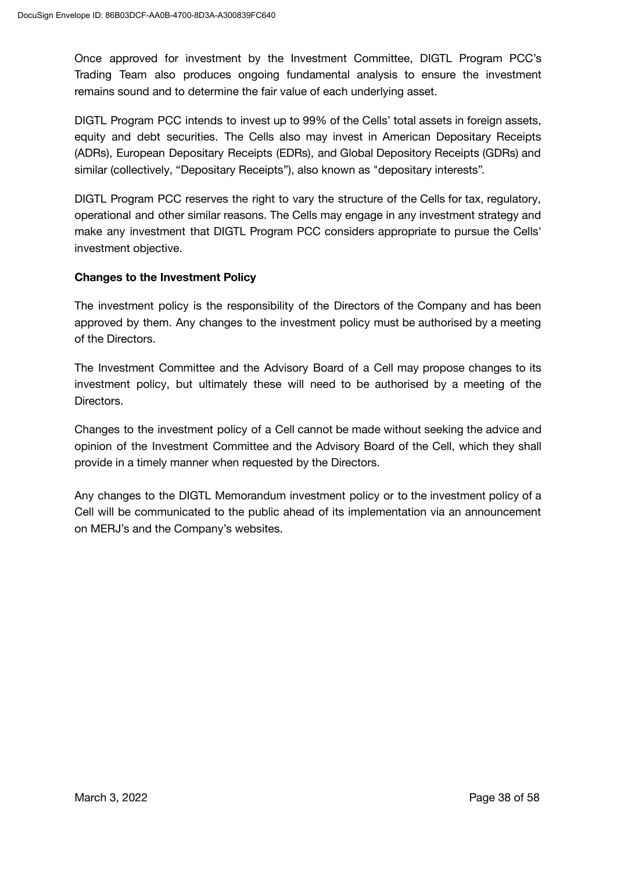Once approved for investment by the Investment Committee, DIGTL Program PCC's Trading Team also produces ongoing fundamental analysis to ensure the investment remains sound and to determine the fair value of each underlying asset.

DIGTL Program PCC intends to invest up to 99% of the Cells' total assets in foreign assets, equity and debt securities. The Cells also may invest in American Depositary Receipts (ADRs), European Depositary Receipts (EDRs), and Global Depository Receipts (GDRs) and similar (collectively, "Depositary Receipts"), also known as "depositary interests".

DIGTL Program PCC reserves the right to vary the structure of the Cells for tax, regulatory, operational and other similar reasons. The Cells may engage in any investment strategy and make any investment that DIGTL Program PCC considers appropriate to pursue the Cells' investment objective.

### **Changes to the Investment Policy**

The investment policy is the responsibility of the Directors of the Company and has been approved by them. Any changes to the investment policy must be authorised by a meeting of the Directors.

The Investment Committee and the Advisory Board of a Cell may propose changes to its investment policy, but ultimately these will need to be authorised by a meeting of the Directors.

Changes to the investment policy of a Cell cannot be made without seeking the advice and opinion of the Investment Committee and the Advisory Board of the Cell, which they shall provide in a timely manner when requested by the Directors.

Any changes to the DIGTL Memorandum investment policy or to the investment policy of a Cell will be communicated to the public ahead of its implementation via an announcement on MERJ's and the Company's websites.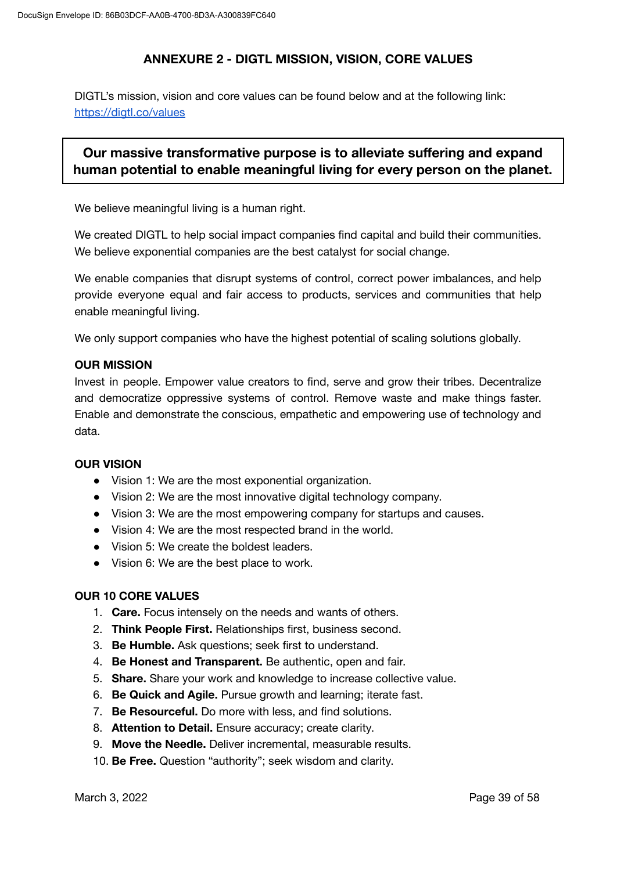### **ANNEXURE 2 - DIGTL MISSION, VISION, CORE VALUES**

DIGTL's mission, vision and core values can be found below and at the following link: <https://digtl.co/values>

# **Our massive transformative purpose is to alleviate suffering and expand human potential to enable meaningful living for every person on the planet.**

We believe meaningful living is a human right.

We created DIGTL to help social impact companies find capital and build their communities. We believe exponential companies are the best catalyst for social change.

We enable companies that disrupt systems of control, correct power imbalances, and help provide everyone equal and fair access to products, services and communities that help enable meaningful living.

We only support companies who have the highest potential of scaling solutions globally.

### **OUR MISSION**

Invest in people. Empower value creators to find, serve and grow their tribes. Decentralize and democratize oppressive systems of control. Remove waste and make things faster. Enable and demonstrate the conscious, empathetic and empowering use of technology and data.

### **OUR VISION**

- Vision 1: We are the most exponential organization.
- Vision 2: We are the most innovative digital technology company.
- Vision 3: We are the most empowering company for startups and causes.
- Vision 4: We are the most respected brand in the world.
- Vision 5: We create the boldest leaders.
- Vision 6: We are the best place to work.

### **OUR 10 CORE VALUES**

- 1. **Care.** Focus intensely on the needs and wants of others.
- 2. **Think People First.** Relationships first, business second.
- 3. **Be Humble.** Ask questions; seek first to understand.
- 4. **Be Honest and Transparent.** Be authentic, open and fair.
- 5. **Share.** Share your work and knowledge to increase collective value.
- 6. **Be Quick and Agile.** Pursue growth and learning; iterate fast.
- 7. **Be Resourceful.** Do more with less, and find solutions.
- 8. **Attention to Detail.** Ensure accuracy; create clarity.
- 9. **Move the Needle.** Deliver incremental, measurable results.
- 10. **Be Free.** Question "authority"; seek wisdom and clarity.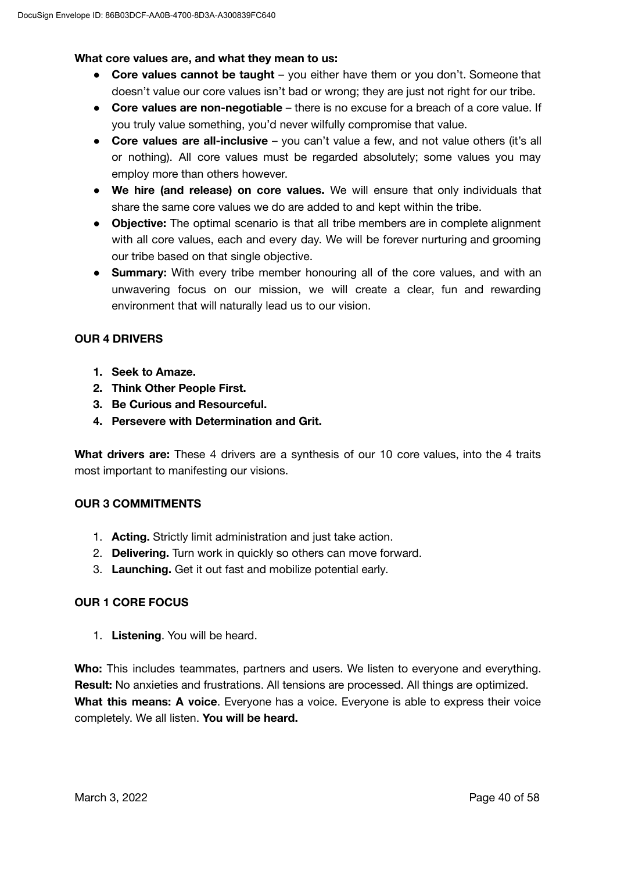### **What core values are, and what they mean to us:**

- **Core values cannot be taught** you either have them or you don't. Someone that doesn't value our core values isn't bad or wrong; they are just not right for our tribe.
- **Core values are non-negotiable** there is no excuse for a breach of a core value. If you truly value something, you'd never wilfully compromise that value.
- **Core values are all-inclusive** you can't value a few, and not value others (it's all or nothing). All core values must be regarded absolutely; some values you may employ more than others however.
- **We hire (and release) on core values.** We will ensure that only individuals that share the same core values we do are added to and kept within the tribe.
- **Objective:** The optimal scenario is that all tribe members are in complete alignment with all core values, each and every day. We will be forever nurturing and grooming our tribe based on that single objective.
- **Summary:** With every tribe member honouring all of the core values, and with an unwavering focus on our mission, we will create a clear, fun and rewarding environment that will naturally lead us to our vision.

### **OUR 4 DRIVERS**

- **1. Seek to Amaze.**
- **2. Think Other People First.**
- **3. Be Curious and Resourceful.**
- **4. Persevere with Determination and Grit.**

**What drivers are:** These 4 drivers are a synthesis of our 10 core values, into the 4 traits most important to manifesting our visions.

### **OUR 3 COMMITMENTS**

- 1. **Acting.** Strictly limit administration and just take action.
- 2. **Delivering.** Turn work in quickly so others can move forward.
- 3. **Launching.** Get it out fast and mobilize potential early.

### **OUR 1 CORE FOCUS**

1. **Listening**. You will be heard.

**Who:** This includes teammates, partners and users. We listen to everyone and everything. **Result:** No anxieties and frustrations. All tensions are processed. All things are optimized. **What this means: A voice**. Everyone has a voice. Everyone is able to express their voice completely. We all listen. **You will be heard.**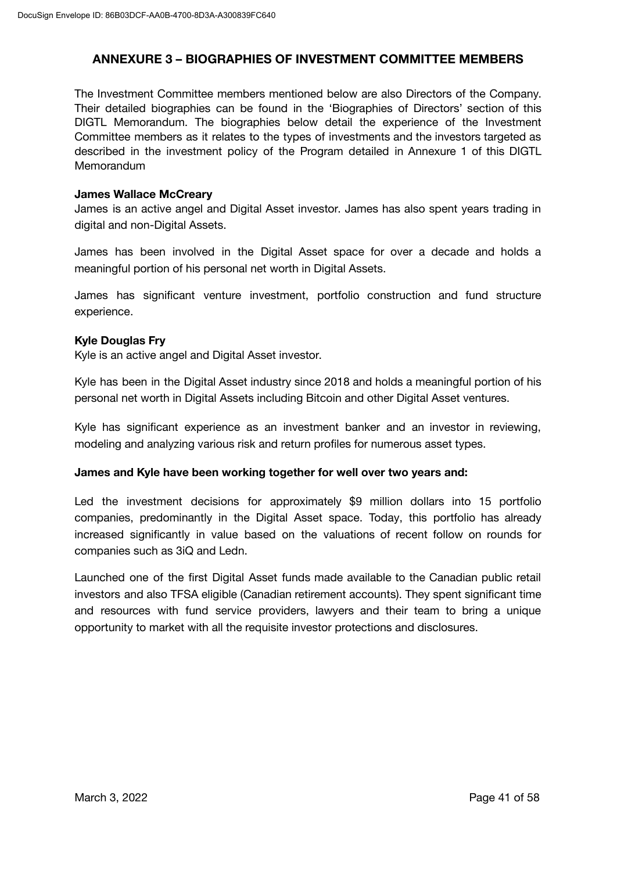### **ANNEXURE 3 – BIOGRAPHIES OF INVESTMENT COMMITTEE MEMBERS**

The Investment Committee members mentioned below are also Directors of the Company. Their detailed biographies can be found in the 'Biographies of Directors' section of this DIGTL Memorandum. The biographies below detail the experience of the Investment Committee members as it relates to the types of investments and the investors targeted as described in the investment policy of the Program detailed in Annexure 1 of this DIGTL **Memorandum** 

#### **James Wallace McCreary**

James is an active angel and Digital Asset investor. James has also spent years trading in digital and non-Digital Assets.

James has been involved in the Digital Asset space for over a decade and holds a meaningful portion of his personal net worth in Digital Assets.

James has significant venture investment, portfolio construction and fund structure experience.

### **Kyle Douglas Fry**

Kyle is an active angel and Digital Asset investor.

Kyle has been in the Digital Asset industry since 2018 and holds a meaningful portion of his personal net worth in Digital Assets including Bitcoin and other Digital Asset ventures.

Kyle has significant experience as an investment banker and an investor in reviewing, modeling and analyzing various risk and return profiles for numerous asset types.

#### **James and Kyle have been working together for well over two years and:**

Led the investment decisions for approximately \$9 million dollars into 15 portfolio companies, predominantly in the Digital Asset space. Today, this portfolio has already increased significantly in value based on the valuations of recent follow on rounds for companies such as 3iQ and Ledn.

Launched one of the first Digital Asset funds made available to the Canadian public retail investors and also TFSA eligible (Canadian retirement accounts). They spent significant time and resources with fund service providers, lawyers and their team to bring a unique opportunity to market with all the requisite investor protections and disclosures.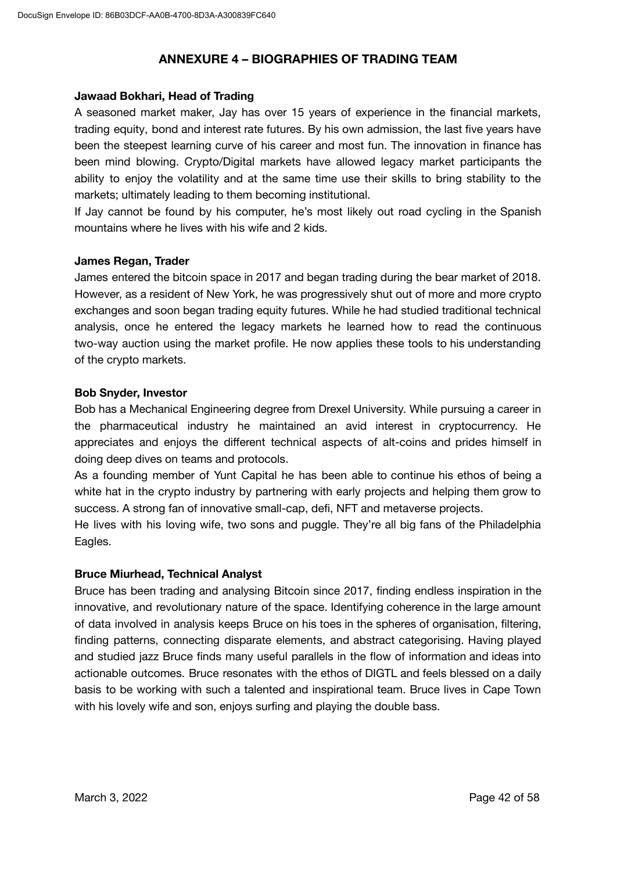### **ANNEXURE 4 – BIOGRAPHIES OF TRADING TEAM**

#### **Jawaad Bokhari, Head of Trading**

A seasoned market maker, Jay has over 15 years of experience in the financial markets, trading equity, bond and interest rate futures. By his own admission, the last five years have been the steepest learning curve of his career and most fun. The innovation in finance has been mind blowing. Crypto/Digital markets have allowed legacy market participants the ability to enjoy the volatility and at the same time use their skills to bring stability to the markets; ultimately leading to them becoming institutional.

If Jay cannot be found by his computer, he's most likely out road cycling in the Spanish mountains where he lives with his wife and 2 kids.

#### **James Regan, Trader**

James entered the bitcoin space in 2017 and began trading during the bear market of 2018. However, as a resident of New York, he was progressively shut out of more and more crypto exchanges and soon began trading equity futures. While he had studied traditional technical analysis, once he entered the legacy markets he learned how to read the continuous two-way auction using the market profile. He now applies these tools to his understanding of the crypto markets.

#### **Bob Snyder, Investor**

Bob has a Mechanical Engineering degree from Drexel University. While pursuing a career in the pharmaceutical industry he maintained an avid interest in cryptocurrency. He appreciates and enjoys the different technical aspects of alt-coins and prides himself in doing deep dives on teams and protocols.

As a founding member of Yunt Capital he has been able to continue his ethos of being a white hat in the crypto industry by partnering with early projects and helping them grow to success. A strong fan of innovative small-cap, defi, NFT and metaverse projects.

He lives with his loving wife, two sons and puggle. They're all big fans of the Philadelphia Eagles.

### **Bruce Miurhead, Technical Analyst**

Bruce has been trading and analysing Bitcoin since 2017, finding endless inspiration in the innovative, and revolutionary nature of the space. Identifying coherence in the large amount of data involved in analysis keeps Bruce on his toes in the spheres of organisation, filtering, finding patterns, connecting disparate elements, and abstract categorising. Having played and studied jazz Bruce finds many useful parallels in the flow of information and ideas into actionable outcomes. Bruce resonates with the ethos of DIGTL and feels blessed on a daily basis to be working with such a talented and inspirational team. Bruce lives in Cape Town with his lovely wife and son, enjoys surfing and playing the double bass.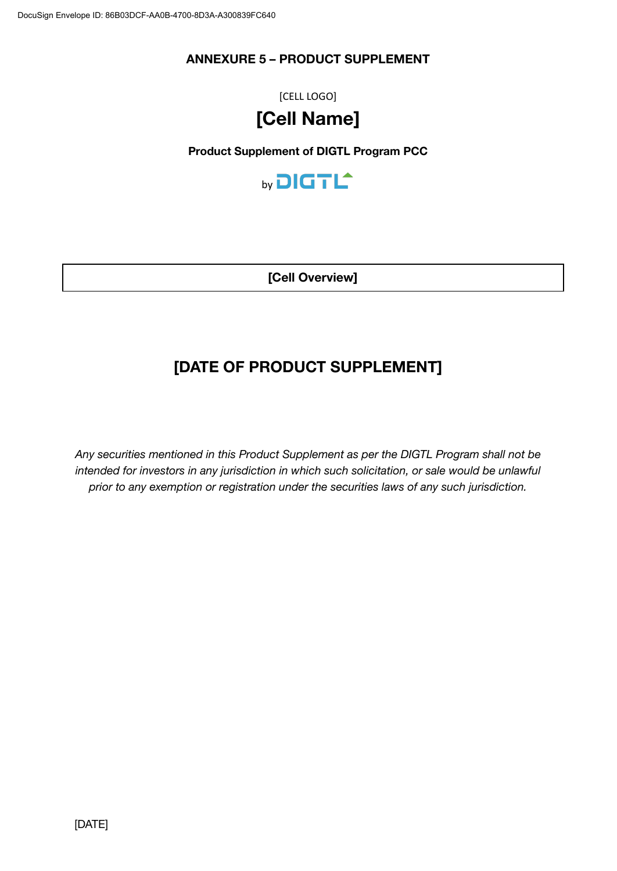## **ANNEXURE 5 – PRODUCT SUPPLEMENT**

[CELL LOGO]

# **[Cell Name]**

### **Product Supplement of DIGTL Program PCC**



**[Cell Overview]**

# **[DATE OF PRODUCT SUPPLEMENT]**

*Any securities mentioned in this Product Supplement as per the DIGTL Program shall not be intended for investors in any jurisdiction in which such solicitation, or sale would be unlawful prior to any exemption or registration under the securities laws of any such jurisdiction.*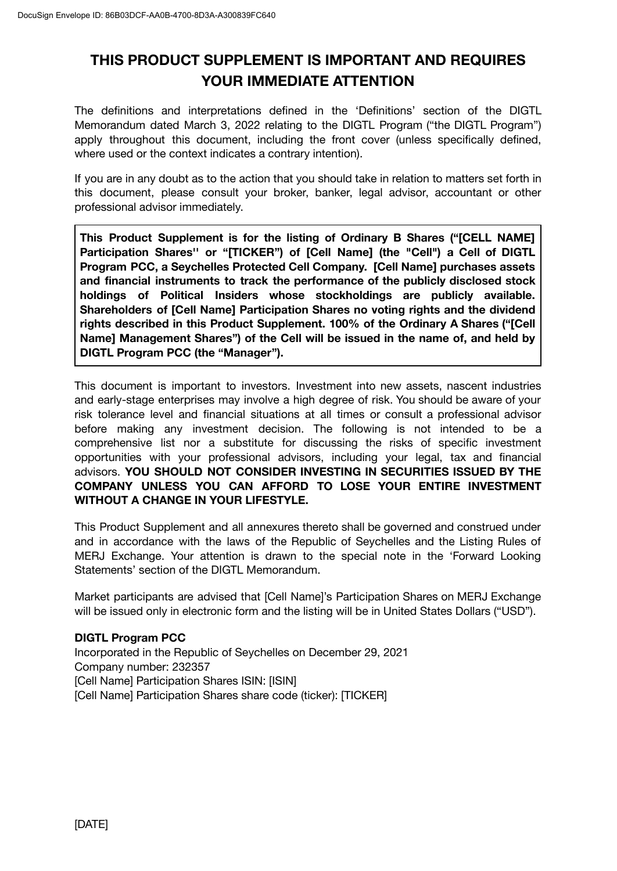# **THIS PRODUCT SUPPLEMENT IS IMPORTANT AND REQUIRES YOUR IMMEDIATE ATTENTION**

The definitions and interpretations defined in the 'Definitions' section of the DIGTL Memorandum dated March 3, 2022 relating to the DIGTL Program ("the DIGTL Program") apply throughout this document, including the front cover (unless specifically defined, where used or the context indicates a contrary intention).

If you are in any doubt as to the action that you should take in relation to matters set forth in this document, please consult your broker, banker, legal advisor, accountant or other professional advisor immediately.

**This Product Supplement is for the listing of Ordinary B Shares ("[CELL NAME] Participation Shares'' or "[TICKER") of [Cell Name] (the "Cell") a Cell of DIGTL Program PCC, a Seychelles Protected Cell Company. [Cell Name] purchases assets and financial instruments to track the performance of the publicly disclosed stock holdings of Political Insiders whose stockholdings are publicly available. Shareholders of [Cell Name] Participation Shares no voting rights and the dividend rights described in this Product Supplement. 100% of the Ordinary A Shares ("[Cell Name] Management Shares") of the Cell will be issued in the name of, and held by DIGTL Program PCC (the "Manager").**

This document is important to investors. Investment into new assets, nascent industries and early-stage enterprises may involve a high degree of risk. You should be aware of your risk tolerance level and financial situations at all times or consult a professional advisor before making any investment decision. The following is not intended to be a comprehensive list nor a substitute for discussing the risks of specific investment opportunities with your professional advisors, including your legal, tax and financial advisors. **YOU SHOULD NOT CONSIDER INVESTING IN SECURITIES ISSUED BY THE COMPANY UNLESS YOU CAN AFFORD TO LOSE YOUR ENTIRE INVESTMENT WITHOUT A CHANGE IN YOUR LIFESTYLE.**

This Product Supplement and all annexures thereto shall be governed and construed under and in accordance with the laws of the Republic of Seychelles and the Listing Rules of MERJ Exchange. Your attention is drawn to the special note in the 'Forward Looking Statements' section of the DIGTL Memorandum.

Market participants are advised that [Cell Name]'s Participation Shares on MERJ Exchange will be issued only in electronic form and the listing will be in United States Dollars ("USD").

### **DIGTL Program PCC**

Incorporated in the Republic of Seychelles on December 29, 2021 Company number: 232357 [Cell Name] Participation Shares ISIN: [ISIN] [Cell Name] Participation Shares share code (ticker): [TICKER]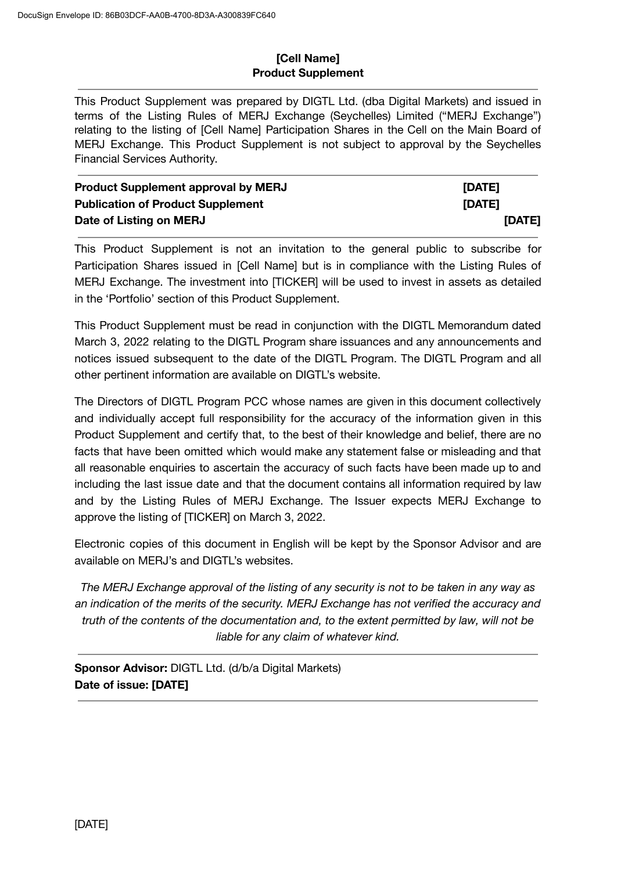### **[Cell Name] Product Supplement**

This Product Supplement was prepared by DIGTL Ltd. (dba Digital Markets) and issued in terms of the Listing Rules of MERJ Exchange (Seychelles) Limited ("MERJ Exchange") relating to the listing of [Cell Name] Participation Shares in the Cell on the Main Board of MERJ Exchange. This Product Supplement is not subject to approval by the Seychelles Financial Services Authority.

| <b>Product Supplement approval by MERJ</b> | [DATE] |
|--------------------------------------------|--------|
| <b>Publication of Product Supplement</b>   | [DATE] |
| Date of Listing on MERJ                    | [DATE] |

This Product Supplement is not an invitation to the general public to subscribe for Participation Shares issued in [Cell Name] but is in compliance with the Listing Rules of MERJ Exchange. The investment into [TICKER] will be used to invest in assets as detailed in the 'Portfolio' section of this Product Supplement.

This Product Supplement must be read in conjunction with the DIGTL Memorandum dated March 3, 2022 relating to the DIGTL Program share issuances and any announcements and notices issued subsequent to the date of the DIGTL Program. The DIGTL Program and all other pertinent information are available on DIGTL's website.

The Directors of DIGTL Program PCC whose names are given in this document collectively and individually accept full responsibility for the accuracy of the information given in this Product Supplement and certify that, to the best of their knowledge and belief, there are no facts that have been omitted which would make any statement false or misleading and that all reasonable enquiries to ascertain the accuracy of such facts have been made up to and including the last issue date and that the document contains all information required by law and by the Listing Rules of MERJ Exchange. The Issuer expects MERJ Exchange to approve the listing of [TICKER] on March 3, 2022.

Electronic copies of this document in English will be kept by the Sponsor Advisor and are available on MERJ's and DIGTL's websites.

*The MERJ Exchange approval of the listing of any security is not to be taken in any way as an indication of the merits of the security. MERJ Exchange has not verified the accuracy and truth of the contents of the documentation and, to the extent permitted by law, will not be liable for any claim of whatever kind.*

**Sponsor Advisor:** DIGTL Ltd. (d/b/a Digital Markets) **Date of issue: [DATE]**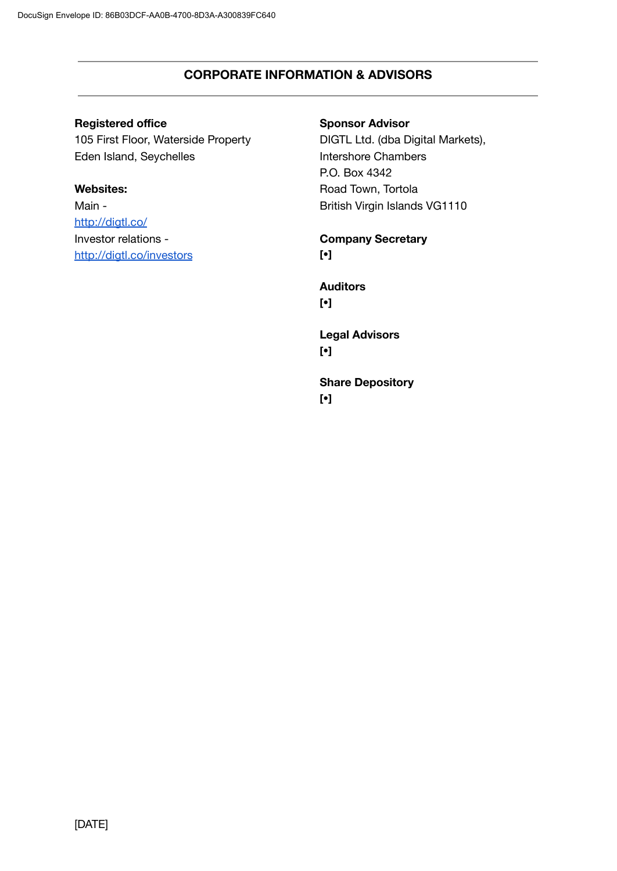### **CORPORATE INFORMATION & ADVISORS**

### **Registered office**

105 First Floor, Waterside Property Eden Island, Seychelles

### **Websites:**

Main <http://digtl.co/> Investor relations [http://digtl.co/investors](http://digtl.co/)

### **Sponsor Advisor**

DIGTL Ltd. (dba Digital Markets), Intershore Chambers P.O. Box 4342 Road Town, Tortola British Virgin Islands VG1110

### **Company Secretary [•]**

**Auditors [•]**

**Legal Advisors [•]**

**Share Depository [•]**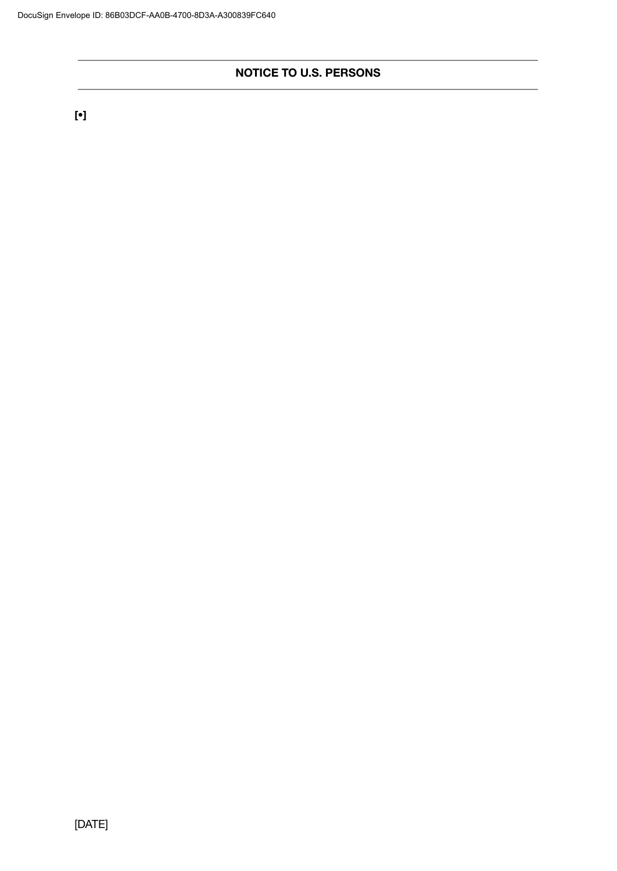### **NOTICE TO U.S. PERSONS**

**[•]**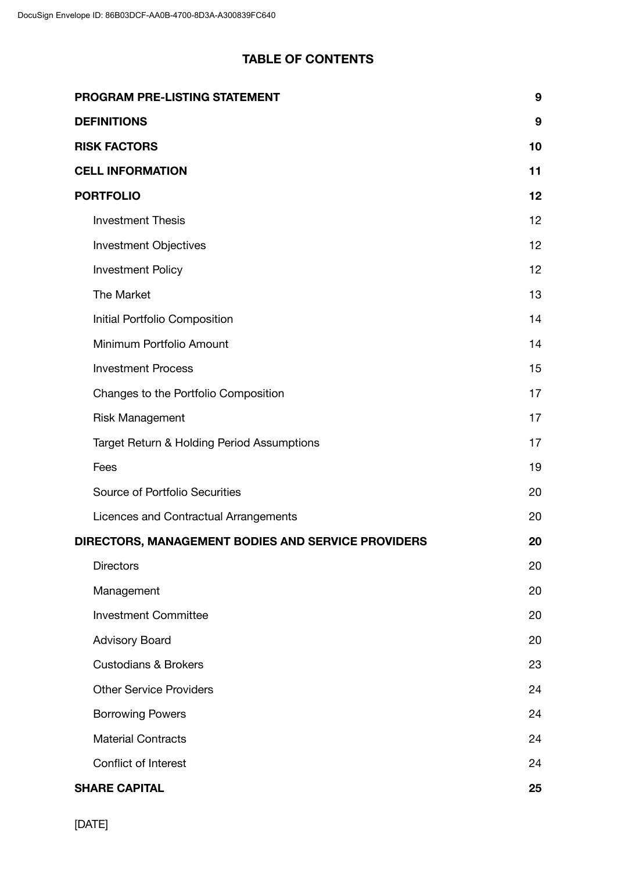# **TABLE OF CONTENTS**

| PROGRAM PRE-LISTING STATEMENT                      | 9  |
|----------------------------------------------------|----|
| <b>DEFINITIONS</b>                                 | 9  |
| <b>RISK FACTORS</b>                                | 10 |
| <b>CELL INFORMATION</b>                            | 11 |
| <b>PORTFOLIO</b>                                   | 12 |
| <b>Investment Thesis</b>                           | 12 |
| <b>Investment Objectives</b>                       | 12 |
| <b>Investment Policy</b>                           | 12 |
| The Market                                         | 13 |
| Initial Portfolio Composition                      | 14 |
| Minimum Portfolio Amount                           | 14 |
| <b>Investment Process</b>                          | 15 |
| Changes to the Portfolio Composition               | 17 |
| <b>Risk Management</b>                             | 17 |
| Target Return & Holding Period Assumptions         | 17 |
| Fees                                               | 19 |
| Source of Portfolio Securities                     | 20 |
| Licences and Contractual Arrangements              | 20 |
| DIRECTORS, MANAGEMENT BODIES AND SERVICE PROVIDERS | 20 |
| <b>Directors</b>                                   | 20 |
| Management                                         | 20 |
| <b>Investment Committee</b>                        | 20 |
| <b>Advisory Board</b>                              | 20 |
| <b>Custodians &amp; Brokers</b>                    | 23 |
| <b>Other Service Providers</b>                     | 24 |
| <b>Borrowing Powers</b>                            | 24 |
| <b>Material Contracts</b>                          | 24 |
| Conflict of Interest                               | 24 |
| <b>SHARE CAPITAL</b>                               | 25 |

[DATE]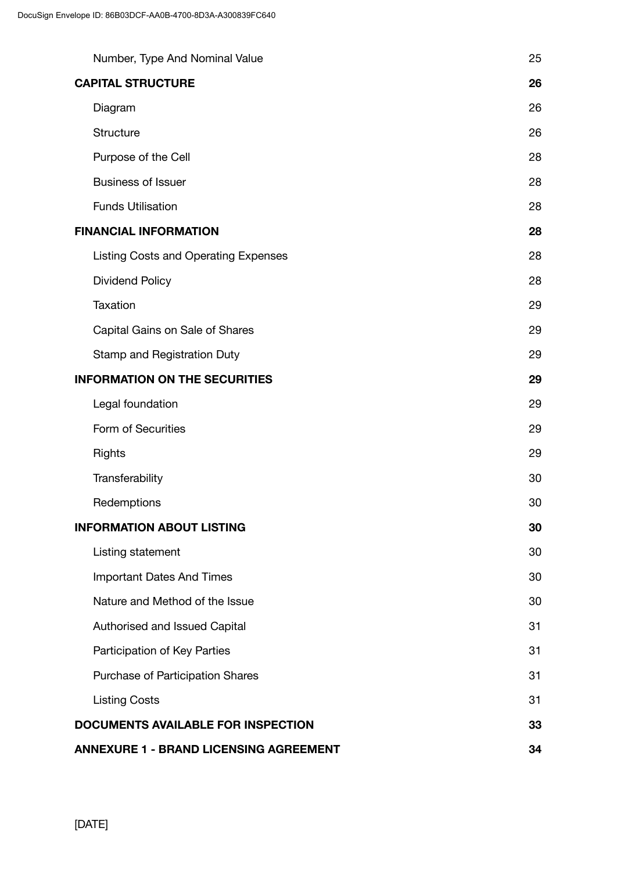|                                               | Number, Type And Nominal Value              | 25 |
|-----------------------------------------------|---------------------------------------------|----|
|                                               | <b>CAPITAL STRUCTURE</b>                    | 26 |
|                                               | Diagram                                     | 26 |
|                                               | <b>Structure</b>                            | 26 |
|                                               | Purpose of the Cell                         | 28 |
|                                               | <b>Business of Issuer</b>                   | 28 |
|                                               | <b>Funds Utilisation</b>                    | 28 |
|                                               | <b>FINANCIAL INFORMATION</b>                | 28 |
|                                               | <b>Listing Costs and Operating Expenses</b> | 28 |
|                                               | <b>Dividend Policy</b>                      | 28 |
|                                               | <b>Taxation</b>                             | 29 |
|                                               | Capital Gains on Sale of Shares             | 29 |
|                                               | Stamp and Registration Duty                 | 29 |
|                                               | <b>INFORMATION ON THE SECURITIES</b>        |    |
|                                               | Legal foundation                            | 29 |
|                                               | Form of Securities                          | 29 |
|                                               | <b>Rights</b>                               | 29 |
|                                               | Transferability                             | 30 |
|                                               | Redemptions                                 | 30 |
|                                               | <b>INFORMATION ABOUT LISTING</b>            | 30 |
|                                               | Listing statement                           | 30 |
|                                               | <b>Important Dates And Times</b>            | 30 |
|                                               | Nature and Method of the Issue              | 30 |
|                                               | Authorised and Issued Capital               | 31 |
|                                               | Participation of Key Parties                | 31 |
|                                               | Purchase of Participation Shares            | 31 |
|                                               | <b>Listing Costs</b>                        | 31 |
|                                               | <b>DOCUMENTS AVAILABLE FOR INSPECTION</b>   | 33 |
| <b>ANNEXURE 1 - BRAND LICENSING AGREEMENT</b> |                                             |    |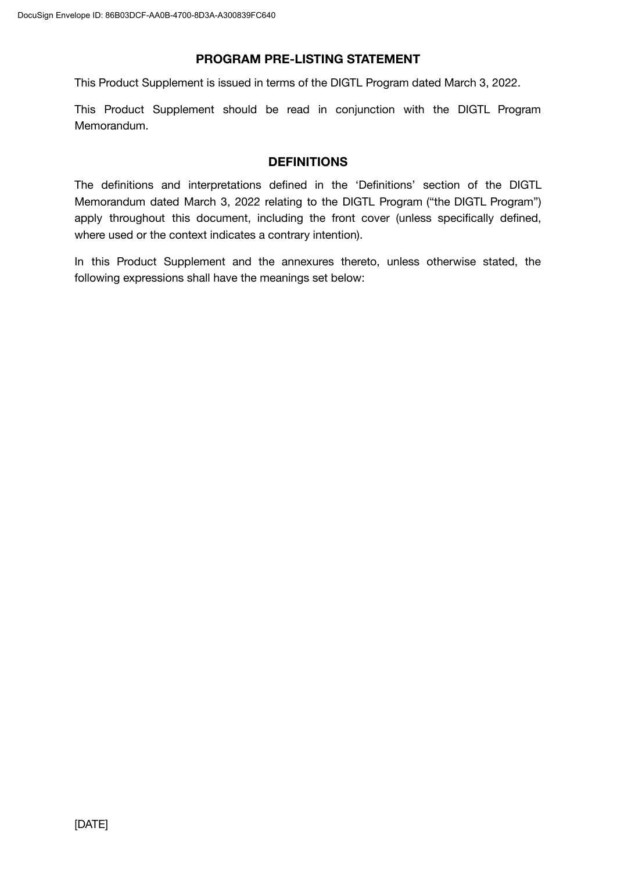### **PROGRAM PRE-LISTING STATEMENT**

This Product Supplement is issued in terms of the DIGTL Program dated March 3, 2022.

This Product Supplement should be read in conjunction with the DIGTL Program Memorandum.

### **DEFINITIONS**

The definitions and interpretations defined in the 'Definitions' section of the DIGTL Memorandum dated March 3, 2022 relating to the DIGTL Program ("the DIGTL Program") apply throughout this document, including the front cover (unless specifically defined, where used or the context indicates a contrary intention).

In this Product Supplement and the annexures thereto, unless otherwise stated, the following expressions shall have the meanings set below: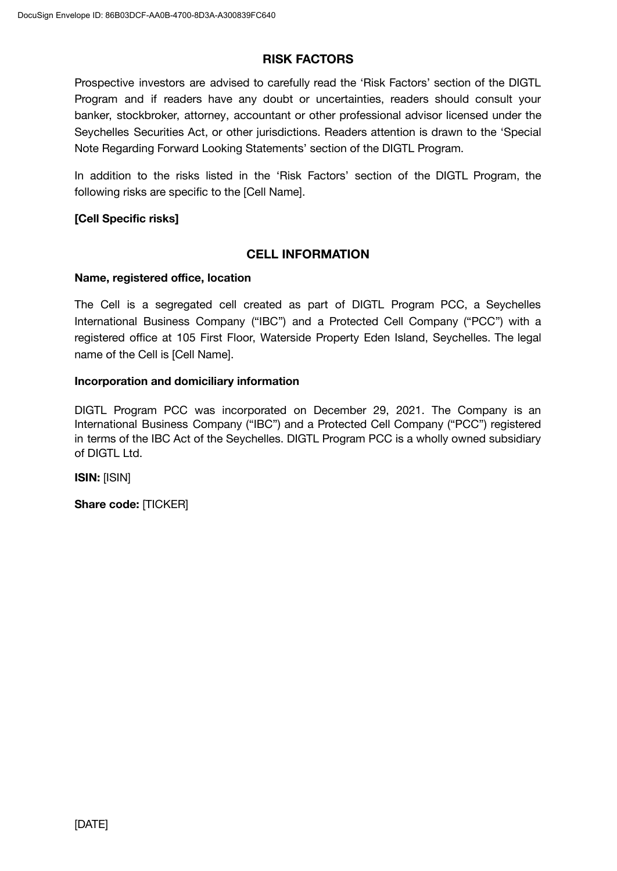### **RISK FACTORS**

Prospective investors are advised to carefully read the 'Risk Factors' section of the DIGTL Program and if readers have any doubt or uncertainties, readers should consult your banker, stockbroker, attorney, accountant or other professional advisor licensed under the Seychelles Securities Act, or other jurisdictions. Readers attention is drawn to the 'Special Note Regarding Forward Looking Statements' section of the DIGTL Program.

In addition to the risks listed in the 'Risk Factors' section of the DIGTL Program, the following risks are specific to the [Cell Name].

### **[Cell Specific risks]**

### **CELL INFORMATION**

#### **Name, registered office, location**

The Cell is a segregated cell created as part of DIGTL Program PCC, a Seychelles International Business Company ("IBC") and a Protected Cell Company ("PCC") with a registered office at 105 First Floor, Waterside Property Eden Island, Seychelles. The legal name of the Cell is [Cell Name].

#### **Incorporation and domiciliary information**

DIGTL Program PCC was incorporated on December 29, 2021. The Company is an International Business Company ("IBC") and a Protected Cell Company ("PCC") registered in terms of the IBC Act of the Seychelles. DIGTL Program PCC is a wholly owned subsidiary of DIGTL Ltd.

**ISIN:** [ISIN]

**Share code:** [TICKER]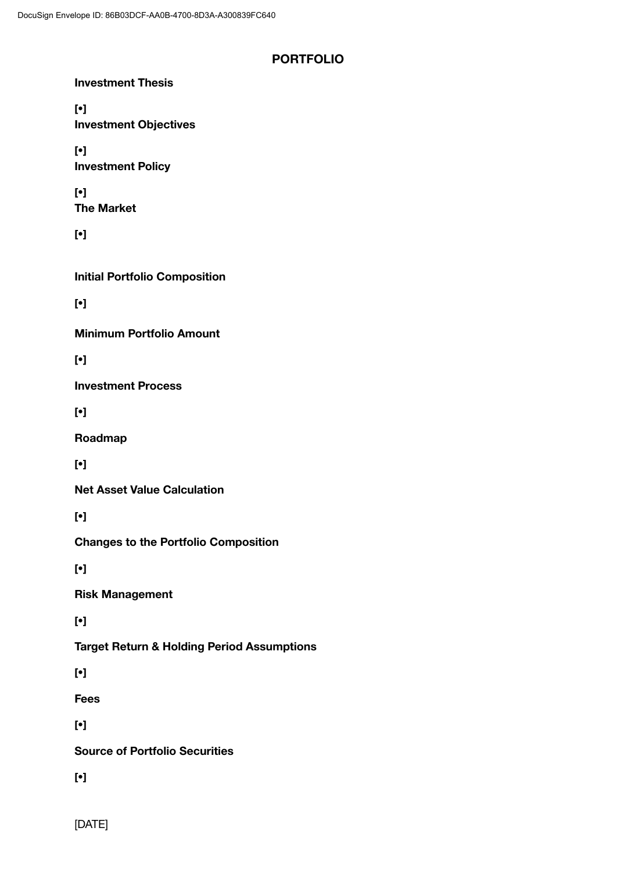### **PORTFOLIO**

| <b>Investment Thesis</b>                              |
|-------------------------------------------------------|
| $[\cdot]$<br><b>Investment Objectives</b>             |
| $[\cdot]$<br><b>Investment Policy</b>                 |
| $[\cdot]$<br><b>The Market</b>                        |
| $[\cdot]$                                             |
| <b>Initial Portfolio Composition</b>                  |
| $[\cdot]$                                             |
| <b>Minimum Portfolio Amount</b>                       |
| $[\cdot]$                                             |
| <b>Investment Process</b>                             |
| $[\cdot]$                                             |
| Roadmap                                               |
| $[\cdot]$                                             |
| <b>Net Asset Value Calculation</b>                    |
| $[\cdot]$                                             |
| <b>Changes to the Portfolio Composition</b>           |
| $[\cdot]$                                             |
| <b>Risk Management</b>                                |
| $[\cdot]$                                             |
| <b>Target Return &amp; Holding Period Assumptions</b> |
| $[\cdot]$                                             |
| <b>Fees</b>                                           |
| $[\cdot]$                                             |
| <b>Source of Portfolio Securities</b>                 |
| $[\cdot]$                                             |
|                                                       |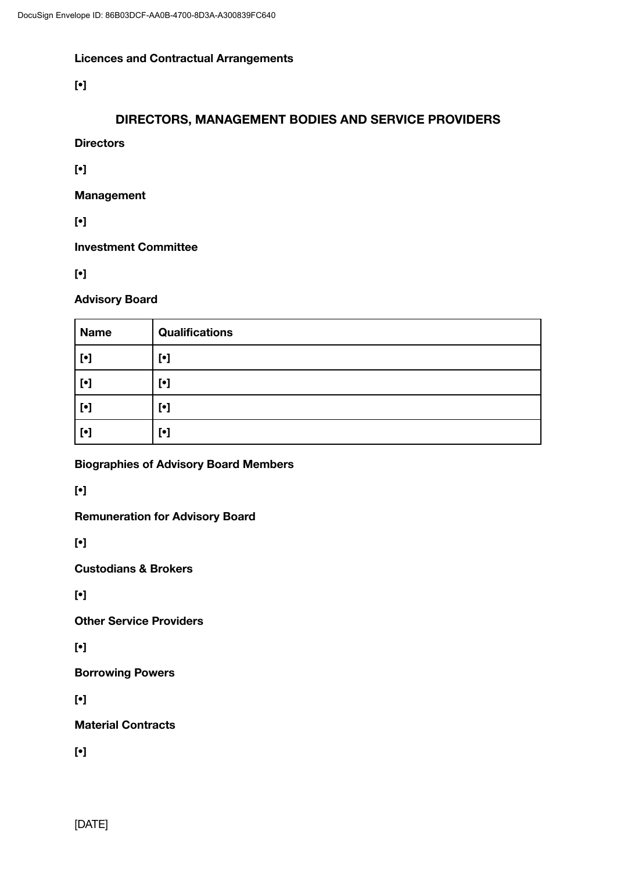### **Licences and Contractual Arrangements**

**[•]**

# **DIRECTORS, MANAGEMENT BODIES AND SERVICE PROVIDERS**

**Directors**

**[•]**

**Management**

**[•]**

**Investment Committee**

**[•]**

### **Advisory Board**

| <b>Name</b>                                                                                                                                                                                                                                              | <b>Qualifications</b>     |
|----------------------------------------------------------------------------------------------------------------------------------------------------------------------------------------------------------------------------------------------------------|---------------------------|
| $[\bullet] % \centering \includegraphics[width=0.9\textwidth]{images/TrDiM-Architecture.png} % \caption{The first two different values of $A$ with the same time. The first two different values of $A$ is the same time.} \label{TrDiM-Architecture} %$ | $\lbrack \bullet \rbrack$ |
| $[\bullet] % \centering \includegraphics[width=0.9\textwidth]{images/TrDiM-Architecture.png} % \caption{The first two different values of $A$ with the same time. The first two different values of $A$ is the same time.} \label{TrDiM-Architecture} %$ | $\lbrack \bullet \rbrack$ |
| $[\cdot]$                                                                                                                                                                                                                                                | $\lbrack \bullet \rbrack$ |
| $[\cdot]$                                                                                                                                                                                                                                                | $\lbrack \bullet \rbrack$ |

**Biographies of Advisory Board Members**

**[•]**

**Remuneration for Advisory Board**

**[•]**

**Custodians & Brokers**

**[•]**

**Other Service Providers**

**[•]**

**Borrowing Powers**

**[•]**

**Material Contracts**

**[•]**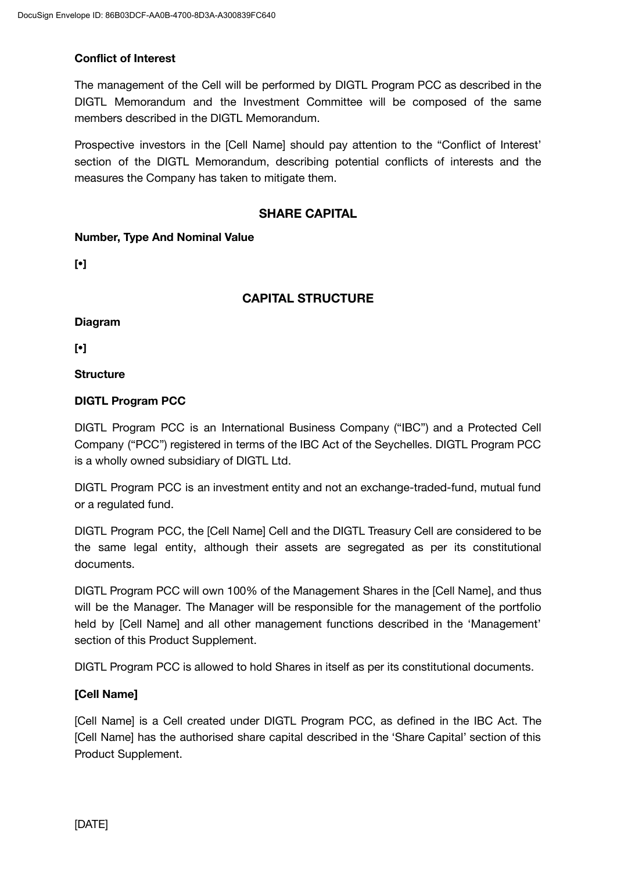### **Conflict of Interest**

The management of the Cell will be performed by DIGTL Program PCC as described in the DIGTL Memorandum and the Investment Committee will be composed of the same members described in the DIGTL Memorandum.

Prospective investors in the [Cell Name] should pay attention to the "Conflict of Interest' section of the DIGTL Memorandum, describing potential conflicts of interests and the measures the Company has taken to mitigate them.

### **SHARE CAPITAL**

### **Number, Type And Nominal Value**

**[•]**

### **CAPITAL STRUCTURE**

**Diagram**

**[•]**

**Structure**

### **DIGTL Program PCC**

DIGTL Program PCC is an International Business Company ("IBC") and a Protected Cell Company ("PCC") registered in terms of the IBC Act of the Seychelles. DIGTL Program PCC is a wholly owned subsidiary of DIGTL Ltd.

DIGTL Program PCC is an investment entity and not an exchange-traded-fund, mutual fund or a regulated fund.

DIGTL Program PCC, the [Cell Name] Cell and the DIGTL Treasury Cell are considered to be the same legal entity, although their assets are segregated as per its constitutional documents.

DIGTL Program PCC will own 100% of the Management Shares in the [Cell Name], and thus will be the Manager. The Manager will be responsible for the management of the portfolio held by [Cell Name] and all other management functions described in the 'Management' section of this Product Supplement.

DIGTL Program PCC is allowed to hold Shares in itself as per its constitutional documents.

### **[Cell Name]**

[Cell Name] is a Cell created under DIGTL Program PCC, as defined in the IBC Act. The [Cell Name] has the authorised share capital described in the 'Share Capital' section of this Product Supplement.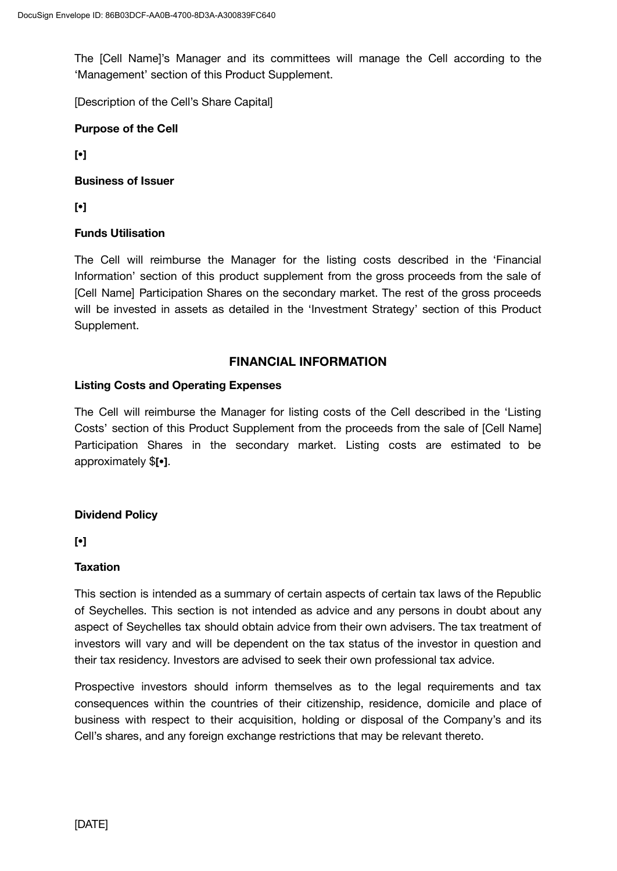The [Cell Name]'s Manager and its committees will manage the Cell according to the 'Management' section of this Product Supplement.

[Description of the Cell's Share Capital]

### **Purpose of the Cell**

**[•]**

### **Business of Issuer**

**[•]**

### **Funds Utilisation**

The Cell will reimburse the Manager for the listing costs described in the 'Financial Information' section of this product supplement from the gross proceeds from the sale of [Cell Name] Participation Shares on the secondary market. The rest of the gross proceeds will be invested in assets as detailed in the 'Investment Strategy' section of this Product Supplement.

### **FINANCIAL INFORMATION**

### **Listing Costs and Operating Expenses**

The Cell will reimburse the Manager for listing costs of the Cell described in the 'Listing Costs' section of this Product Supplement from the proceeds from the sale of [Cell Name] Participation Shares in the secondary market. Listing costs are estimated to be approximately \$**[•]**.

### **Dividend Policy**

**[•]**

### **Taxation**

This section is intended as a summary of certain aspects of certain tax laws of the Republic of Seychelles. This section is not intended as advice and any persons in doubt about any aspect of Seychelles tax should obtain advice from their own advisers. The tax treatment of investors will vary and will be dependent on the tax status of the investor in question and their tax residency. Investors are advised to seek their own professional tax advice.

Prospective investors should inform themselves as to the legal requirements and tax consequences within the countries of their citizenship, residence, domicile and place of business with respect to their acquisition, holding or disposal of the Company's and its Cell's shares, and any foreign exchange restrictions that may be relevant thereto.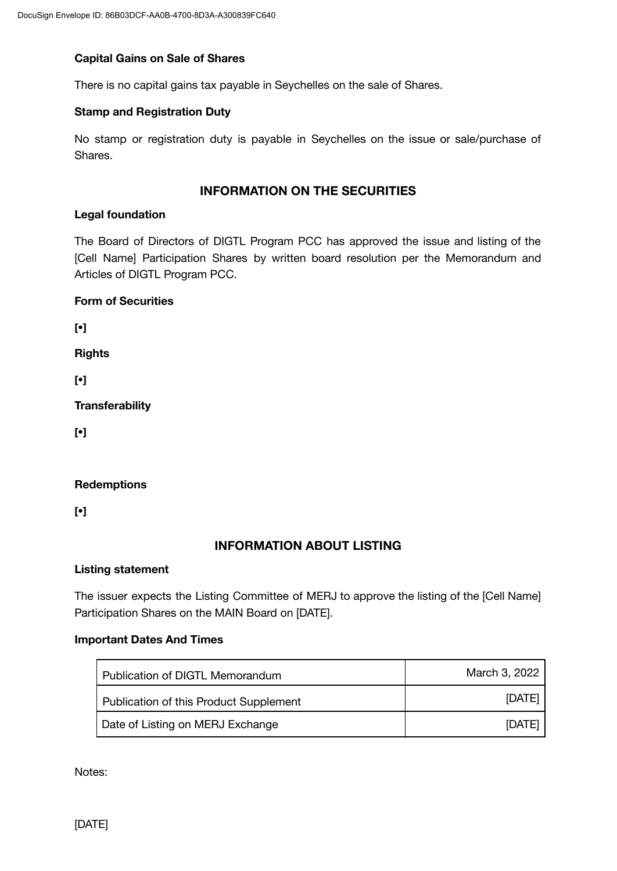### **Capital Gains on Sale of Shares**

There is no capital gains tax payable in Seychelles on the sale of Shares.

### **Stamp and Registration Duty**

No stamp or registration duty is payable in Seychelles on the issue or sale/purchase of Shares.

### **INFORMATION ON THE SECURITIES**

#### **Legal foundation**

The Board of Directors of DIGTL Program PCC has approved the issue and listing of the [Cell Name] Participation Shares by written board resolution per the Memorandum and Articles of DIGTL Program PCC.

#### **Form of Securities**

**[•]**

**Rights**

**[•]**

**Transferability**

**[•]**

### **Redemptions**

**[•]**

### **INFORMATION ABOUT LISTING**

#### **Listing statement**

The issuer expects the Listing Committee of MERJ to approve the listing of the [Cell Name] Participation Shares on the MAIN Board on [DATE].

### **Important Dates And Times**

| Publication of DIGTL Memorandum        | March 3, 2022 |
|----------------------------------------|---------------|
| Publication of this Product Supplement | [DATE]        |
| Date of Listing on MERJ Exchange       | <b>IDATEI</b> |

Notes: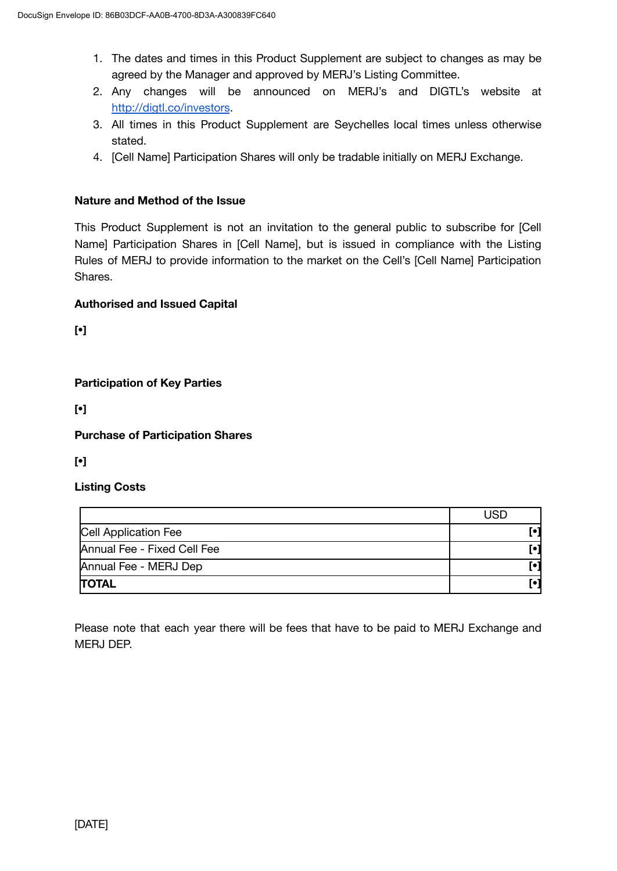- 1. The dates and times in this Product Supplement are subject to changes as may be agreed by the Manager and approved by MERJ's Listing Committee.
- 2. Any changes will be announced on MERJ's and DIGTL's website at [http://digtl.co/investors](http://digtl.co/).
- 3. All times in this Product Supplement are Seychelles local times unless otherwise stated.
- 4. [Cell Name] Participation Shares will only be tradable initially on MERJ Exchange.

### **Nature and Method of the Issue**

This Product Supplement is not an invitation to the general public to subscribe for [Cell Name] Participation Shares in [Cell Name], but is issued in compliance with the Listing Rules of MERJ to provide information to the market on the Cell's [Cell Name] Participation Shares.

### **Authorised and Issued Capital**

**[•]**

**Participation of Key Parties**

**[•]**

**Purchase of Participation Shares**

**[•]**

### **Listing Costs**

|                             | <b>USD</b> |
|-----------------------------|------------|
| Cell Application Fee        | Гo         |
| Annual Fee - Fixed Cell Fee | [•]        |
| Annual Fee - MERJ Dep       | [•]        |
| <b>TOTAL</b>                |            |

Please note that each year there will be fees that have to be paid to MERJ Exchange and MERJ DEP.